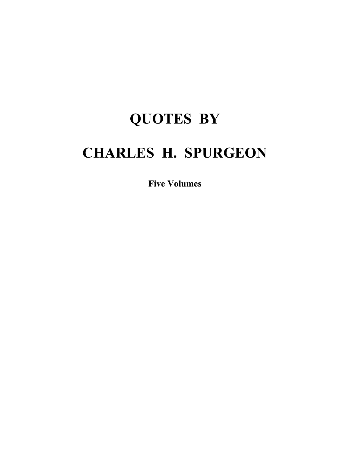# **QUOTES BY CHARLES H. SPURGEON**

**Five Volumes**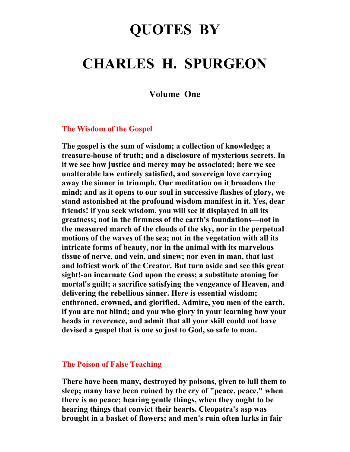# **QUOTES BY**

# **CHARLES H. SPURGEON**

**Volume One** 

#### **The Wisdom of the Gospel**

**The gospel is the sum of wisdom; a collection of knowledge; a treasure-house of truth; and a disclosure of mysterious secrets. In it we see how justice and mercy may be associated; here we see unalterable law entirely satisfied, and sovereign love carrying away the sinner in triumph. Our meditation on it broadens the mind; and as it opens to our soul in successive flashes of glory, we stand astonished at the profound wisdom manifest in it. Yes, dear friends! if you seek wisdom, you will see it displayed in all its greatness; not in the firmness of the earth's foundations—not in the measured march of the clouds of the sky, nor in the perpetual motions of the waves of the sea; not in the vegetation with all its intricate forms of beauty, nor in the animal with its marvelous tissue of nerve, and vein, and sinew; nor even in man, that last and loftiest work of the Creator. But turn aside and see this great sight!-an incarnate God upon the cross; a substitute atoning for mortal's guilt; a sacrifice satisfying the vengeance of Heaven, and delivering the rebellious sinner. Here is essential wisdom; enthroned, crowned, and glorified. Admire, you men of the earth, if you are not blind; and you who glory in your learning bow your heads in reverence, and admit that all your skill could not have devised a gospel that is one so just to God, so safe to man.** 

#### **The Poison of False Teaching**

**There have been many, destroyed by poisons, given to lull them to sleep; many have been ruined by the cry of "peace, peace," when there is no peace; hearing gentle things, when they ought to be hearing things that convict their hearts. Cleopatra's asp was brought in a basket of flowers; and men's ruin often lurks in fair**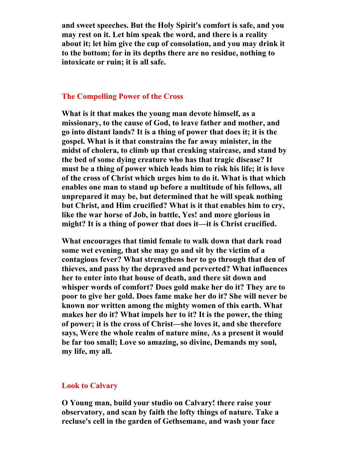**and sweet speeches. But the Holy Spirit's comfort is safe, and you may rest on it. Let him speak the word, and there is a reality about it; let him give the cup of consolation, and you may drink it to the bottom; for in its depths there are no residue, nothing to intoxicate or ruin; it is all safe.** 

# **The Compelling Power of the Cross**

**What is it that makes the young man devote himself, as a missionary, to the cause of God, to leave father and mother, and go into distant lands? It is a thing of power that does it; it is the gospel. What is it that constrains the far away minister, in the midst of cholera, to climb up that creaking staircase, and stand by the bed of some dying creature who has that tragic disease? It must be a thing of power which leads him to risk his life; it is love of the cross of Christ which urges him to do it. What is that which enables one man to stand up before a multitude of his fellows, all unprepared it may be, but determined that he will speak nothing but Christ, and Him crucified? What is it that enables him to cry, like the war horse of Job, in battle, Yes! and more glorious in might? It is a thing of power that does it—it is Christ crucified.** 

**What encourages that timid female to walk down that dark road some wet evening, that she may go and sit by the victim of a contagious fever? What strengthens her to go through that den of thieves, and pass by the depraved and perverted? What influences her to enter into that house of death, and there sit down and whisper words of comfort? Does gold make her do it? They are to poor to give her gold. Does fame make her do it? She will never be known nor written among the mighty women of this earth. What makes her do it? What impels her to it? It is the power, the thing of power; it is the cross of Christ—she loves it, and she therefore says, Were the whole realm of nature mine, As a present it would be far too small; Love so amazing, so divine, Demands my soul, my life, my all.** 

#### **Look to Calvary**

**O Young man, build your studio on Calvary! there raise your observatory, and scan by faith the lofty things of nature. Take a recluse's cell in the garden of Gethsemane, and wash your face**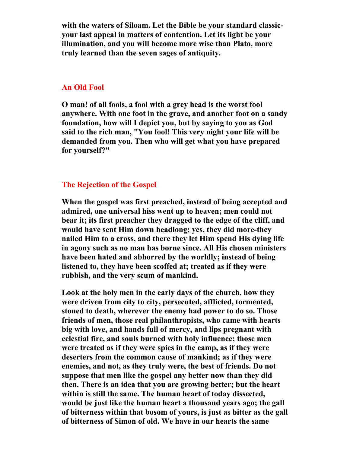**with the waters of Siloam. Let the Bible be your standard classicyour last appeal in matters of contention. Let its light be your illumination, and you will become more wise than Plato, more truly learned than the seven sages of antiquity.** 

#### **An Old Fool**

**O man! of all fools, a fool with a grey head is the worst fool anywhere. With one foot in the grave, and another foot on a sandy foundation, how will I depict you, but by saying to you as God said to the rich man, "You fool! This very night your life will be demanded from you. Then who will get what you have prepared for yourself?"** 

#### **The Rejection of the Gospel**

**When the gospel was first preached, instead of being accepted and admired, one universal hiss went up to heaven; men could not bear it; its first preacher they dragged to the edge of the cliff, and would have sent Him down headlong; yes, they did more-they nailed Him to a cross, and there they let Him spend His dying life in agony such as no man has borne since. All His chosen ministers have been hated and abhorred by the worldly; instead of being listened to, they have been scoffed at; treated as if they were rubbish, and the very scum of mankind.** 

**Look at the holy men in the early days of the church, how they were driven from city to city, persecuted, afflicted, tormented, stoned to death, wherever the enemy had power to do so. Those friends of men, those real philanthropists, who came with hearts big with love, and hands full of mercy, and lips pregnant with celestial fire, and souls burned with holy influence; those men were treated as if they were spies in the camp, as if they were deserters from the common cause of mankind; as if they were enemies, and not, as they truly were, the best of friends. Do not suppose that men like the gospel any better now than they did then. There is an idea that you are growing better; but the heart within is still the same. The human heart of today dissected, would be just like the human heart a thousand years ago; the gall of bitterness within that bosom of yours, is just as bitter as the gall of bitterness of Simon of old. We have in our hearts the same**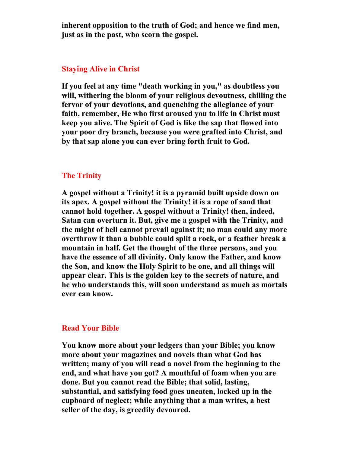**inherent opposition to the truth of God; and hence we find men, just as in the past, who scorn the gospel.** 

#### **Staying Alive in Christ**

**If you feel at any time "death working in you," as doubtless you will, withering the bloom of your religious devoutness, chilling the fervor of your devotions, and quenching the allegiance of your faith, remember, He who first aroused you to life in Christ must keep you alive. The Spirit of God is like the sap that flowed into your poor dry branch, because you were grafted into Christ, and by that sap alone you can ever bring forth fruit to God.** 

# **The Trinity**

**A gospel without a Trinity! it is a pyramid built upside down on its apex. A gospel without the Trinity! it is a rope of sand that cannot hold together. A gospel without a Trinity! then, indeed, Satan can overturn it. But, give me a gospel with the Trinity, and the might of hell cannot prevail against it; no man could any more overthrow it than a bubble could split a rock, or a feather break a mountain in half. Get the thought of the three persons, and you have the essence of all divinity. Only know the Father, and know the Son, and know the Holy Spirit to be one, and all things will appear clear. This is the golden key to the secrets of nature, and he who understands this, will soon understand as much as mortals ever can know.** 

#### **Read Your Bible**

**You know more about your ledgers than your Bible; you know more about your magazines and novels than what God has written; many of you will read a novel from the beginning to the end, and what have you got? A mouthful of foam when you are done. But you cannot read the Bible; that solid, lasting, substantial, and satisfying food goes uneaten, locked up in the cupboard of neglect; while anything that a man writes, a best seller of the day, is greedily devoured.**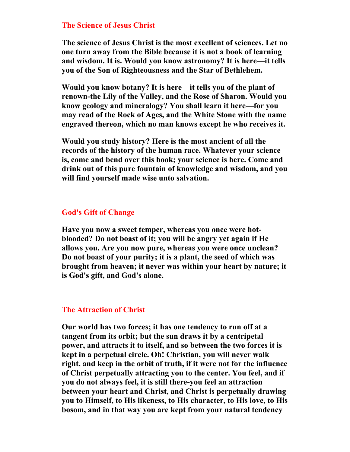#### **The Science of Jesus Christ**

**The science of Jesus Christ is the most excellent of sciences. Let no one turn away from the Bible because it is not a book of learning and wisdom. It is. Would you know astronomy? It is here—it tells you of the Son of Righteousness and the Star of Bethlehem.** 

**Would you know botany? It is here—it tells you of the plant of renown-the Lily of the Valley, and the Rose of Sharon. Would you know geology and mineralogy? You shall learn it here—for you may read of the Rock of Ages, and the White Stone with the name engraved thereon, which no man knows except he who receives it.** 

**Would you study history? Here is the most ancient of all the records of the history of the human race. Whatever your science is, come and bend over this book; your science is here. Come and drink out of this pure fountain of knowledge and wisdom, and you will find yourself made wise unto salvation.** 

# **God's Gift of Change**

**Have you now a sweet temper, whereas you once were hotblooded? Do not boast of it; you will be angry yet again if He allows you. Are you now pure, whereas you were once unclean? Do not boast of your purity; it is a plant, the seed of which was brought from heaven; it never was within your heart by nature; it is God's gift, and God's alone.** 

### **The Attraction of Christ**

**Our world has two forces; it has one tendency to run off at a tangent from its orbit; but the sun draws it by a centripetal power, and attracts it to itself, and so between the two forces it is kept in a perpetual circle. Oh! Christian, you will never walk right, and keep in the orbit of truth, if it were not for the influence of Christ perpetually attracting you to the center. You feel, and if you do not always feel, it is still there-you feel an attraction between your heart and Christ, and Christ is perpetually drawing you to Himself, to His likeness, to His character, to His love, to His bosom, and in that way you are kept from your natural tendency**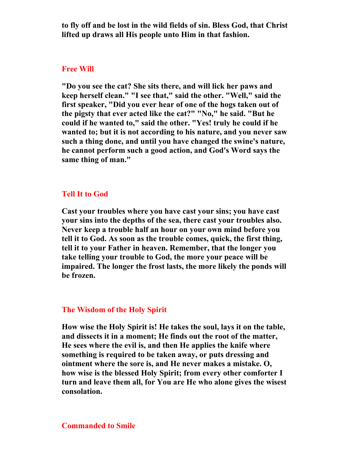**to fly off and be lost in the wild fields of sin. Bless God, that Christ lifted up draws all His people unto Him in that fashion.** 

#### **Free Will**

**"Do you see the cat? She sits there, and will lick her paws and keep herself clean." "I see that," said the other. "Well," said the first speaker, "Did you ever hear of one of the hogs taken out of the pigsty that ever acted like the cat?" "No," he said. "But he could if he wanted to," said the other. "Yes! truly he could if he wanted to; but it is not according to his nature, and you never saw such a thing done, and until you have changed the swine's nature, he cannot perform such a good action, and God's Word says the same thing of man."** 

#### **Tell It to God**

**Cast your troubles where you have cast your sins; you have cast your sins into the depths of the sea, there cast your troubles also. Never keep a trouble half an hour on your own mind before you tell it to God. As soon as the trouble comes, quick, the first thing, tell it to your Father in heaven. Remember, that the longer you take telling your trouble to God, the more your peace will be impaired. The longer the frost lasts, the more likely the ponds will be frozen.** 

### **The Wisdom of the Holy Spirit**

**How wise the Holy Spirit is! He takes the soul, lays it on the table, and dissects it in a moment; He finds out the root of the matter, He sees where the evil is, and then He applies the knife where something is required to be taken away, or puts dressing and ointment where the sore is, and He never makes a mistake. O, how wise is the blessed Holy Spirit; from every other comforter I turn and leave them all, for You are He who alone gives the wisest consolation.** 

#### **Commanded to Smile**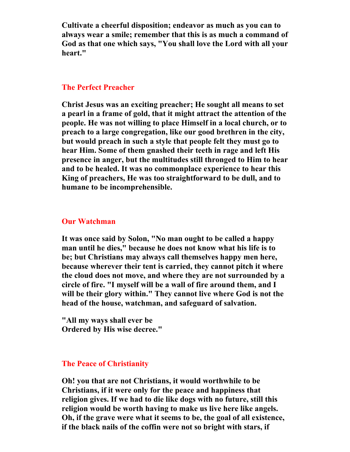**Cultivate a cheerful disposition; endeavor as much as you can to always wear a smile; remember that this is as much a command of God as that one which says, "You shall love the Lord with all your heart."** 

### **The Perfect Preacher**

**Christ Jesus was an exciting preacher; He sought all means to set a pearl in a frame of gold, that it might attract the attention of the people. He was not willing to place Himself in a local church, or to preach to a large congregation, like our good brethren in the city, but would preach in such a style that people felt they must go to hear Him. Some of them gnashed their teeth in rage and left His presence in anger, but the multitudes still thronged to Him to hear and to be healed. It was no commonplace experience to hear this King of preachers, He was too straightforward to be dull, and to humane to be incomprehensible.** 

#### **Our Watchman**

**It was once said by Solon, "No man ought to be called a happy man until he dies," because he does not know what his life is to be; but Christians may always call themselves happy men here, because wherever their tent is carried, they cannot pitch it where the cloud does not move, and where they are not surrounded by a circle of fire. "I myself will be a wall of fire around them, and I will be their glory within." They cannot live where God is not the head of the house, watchman, and safeguard of salvation.** 

**"All my ways shall ever be Ordered by His wise decree."** 

# **The Peace of Christianity**

**Oh! you that are not Christians, it would worthwhile to be Christians, if it were only for the peace and happiness that religion gives. If we had to die like dogs with no future, still this religion would be worth having to make us live here like angels. Oh, if the grave were what it seems to be, the goal of all existence, if the black nails of the coffin were not so bright with stars, if**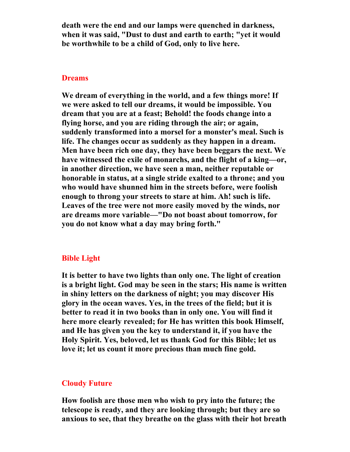**death were the end and our lamps were quenched in darkness, when it was said, "Dust to dust and earth to earth; "yet it would be worthwhile to be a child of God, only to live here.** 

#### **Dreams**

**We dream of everything in the world, and a few things more! If we were asked to tell our dreams, it would be impossible. You dream that you are at a feast; Behold! the foods change into a flying horse, and you are riding through the air; or again, suddenly transformed into a morsel for a monster's meal. Such is life. The changes occur as suddenly as they happen in a dream. Men have been rich one day, they have been beggars the next. We have witnessed the exile of monarchs, and the flight of a king—or, in another direction, we have seen a man, neither reputable or honorable in status, at a single stride exalted to a throne; and you who would have shunned him in the streets before, were foolish enough to throng your streets to stare at him. Ah! such is life. Leaves of the tree were not more easily moved by the winds, nor are dreams more variable—"Do not boast about tomorrow, for you do not know what a day may bring forth."** 

# **Bible Light**

**It is better to have two lights than only one. The light of creation is a bright light. God may be seen in the stars; His name is written in shiny letters on the darkness of night; you may discover His glory in the ocean waves. Yes, in the trees of the field; but it is better to read it in two books than in only one. You will find it here more clearly revealed; for He has written this book Himself, and He has given you the key to understand it, if you have the Holy Spirit. Yes, beloved, let us thank God for this Bible; let us love it; let us count it more precious than much fine gold.** 

#### **Cloudy Future**

**How foolish are those men who wish to pry into the future; the telescope is ready, and they are looking through; but they are so anxious to see, that they breathe on the glass with their hot breath**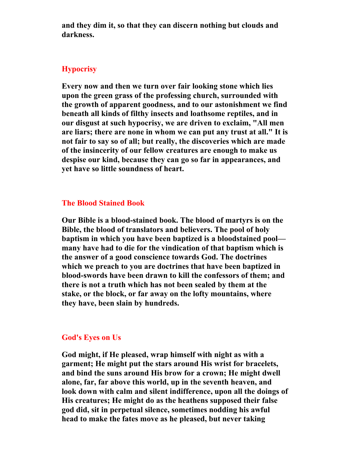**and they dim it, so that they can discern nothing but clouds and darkness.** 

# **Hypocrisy**

**Every now and then we turn over fair looking stone which lies upon the green grass of the professing church, surrounded with the growth of apparent goodness, and to our astonishment we find beneath all kinds of filthy insects and loathsome reptiles, and in our disgust at such hypocrisy, we are driven to exclaim, "All men are liars; there are none in whom we can put any trust at all." It is not fair to say so of all; but really, the discoveries which are made of the insincerity of our fellow creatures are enough to make us despise our kind, because they can go so far in appearances, and yet have so little soundness of heart.** 

#### **The Blood Stained Book**

**Our Bible is a blood-stained book. The blood of martyrs is on the Bible, the blood of translators and believers. The pool of holy baptism in which you have been baptized is a bloodstained pool many have had to die for the vindication of that baptism which is the answer of a good conscience towards God. The doctrines which we preach to you are doctrines that have been baptized in blood-swords have been drawn to kill the confessors of them; and there is not a truth which has not been sealed by them at the stake, or the block, or far away on the lofty mountains, where they have, been slain by hundreds.** 

#### **God's Eyes on Us**

**God might, if He pleased, wrap himself with night as with a garment; He might put the stars around His wrist for bracelets, and bind the suns around His brow for a crown; He might dwell alone, far, far above this world, up in the seventh heaven, and look down with calm and silent indifference, upon all the doings of His creatures; He might do as the heathens supposed their false god did, sit in perpetual silence, sometimes nodding his awful head to make the fates move as he pleased, but never taking**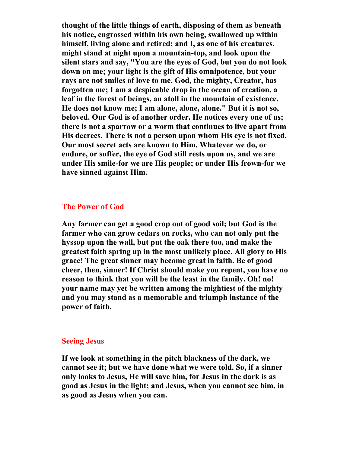**thought of the little things of earth, disposing of them as beneath his notice, engrossed within his own being, swallowed up within himself, living alone and retired; and I, as one of his creatures, might stand at night upon a mountain-top, and look upon the silent stars and say, "You are the eyes of God, but you do not look down on me; your light is the gift of His omnipotence, but your rays are not smiles of love to me. God, the mighty, Creator, has forgotten me; I am a despicable drop in the ocean of creation, a leaf in the forest of beings, an atoll in the mountain of existence. He does not know me; I am alone, alone, alone." But it is not so, beloved. Our God is of another order. He notices every one of us; there is not a sparrow or a worm that continues to live apart from His decrees. There is not a person upon whom His eye is not fixed. Our most secret acts are known to Him. Whatever we do, or endure, or suffer, the eye of God still rests upon us, and we are under His smile-for we are His people; or under His frown-for we have sinned against Him.** 

### **The Power of God**

**Any farmer can get a good crop out of good soil; but God is the farmer who can grow cedars on rocks, who can not only put the hyssop upon the wall, but put the oak there too, and make the greatest faith spring up in the most unlikely place. All glory to His grace! The great sinner may become great in faith. Be of good cheer, then, sinner! If Christ should make you repent, you have no reason to think that you will be the least in the family. Oh! no! your name may yet be written among the mightiest of the mighty and you may stand as a memorable and triumph instance of the power of faith.** 

#### **Seeing Jesus**

**If we look at something in the pitch blackness of the dark, we cannot see it; but we have done what we were told. So, if a sinner only looks to Jesus, He will save him, for Jesus in the dark is as good as Jesus in the light; and Jesus, when you cannot see him, in as good as Jesus when you can.**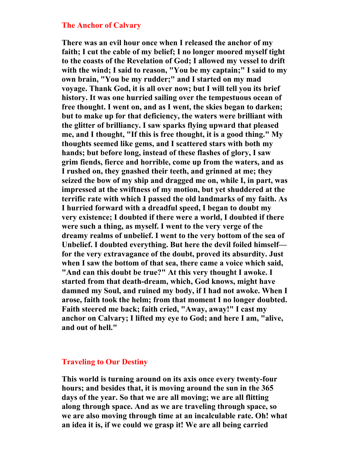#### **The Anchor of Calvary**

**There was an evil hour once when I released the anchor of my faith; I cut the cable of my belief; I no longer moored myself tight to the coasts of the Revelation of God; I allowed my vessel to drift with the wind; I said to reason, "You be my captain;" I said to my own brain, "You be my rudder;" and I started on my mad voyage. Thank God, it is all over now; but I will tell you its brief history. It was one hurried sailing over the tempestuous ocean of free thought. I went on, and as I went, the skies began to darken; but to make up for that deficiency, the waters were brilliant with the glitter of brilliancy. I saw sparks flying upward that pleased me, and I thought, "If this is free thought, it is a good thing." My thoughts seemed like gems, and I scattered stars with both my hands; but before long, instead of these flashes of glory, I saw grim fiends, fierce and horrible, come up from the waters, and as I rushed on, they gnashed their teeth, and grinned at me; they seized the bow of my ship and dragged me on, while I, in part, was impressed at the swiftness of my motion, but yet shuddered at the terrific rate with which I passed the old landmarks of my faith. As I hurried forward with a dreadful speed, I began to doubt my very existence; I doubted if there were a world, I doubted if there were such a thing, as myself. I went to the very verge of the dreamy realms of unbelief. I went to the very bottom of the sea of Unbelief. I doubted everything. But here the devil foiled himself for the very extravagance of the doubt, proved its absurdity. Just when I saw the bottom of that sea, there came a voice which said, "And can this doubt be true?" At this very thought I awoke. I started from that death-dream, which, God knows, might have damned my Soul, and ruined my body, if I had not awoke. When I arose, faith took the helm; from that moment I no longer doubted. Faith steered me back; faith cried, "Away, away!" I cast my anchor on Calvary; I lifted my eye to God; and here I am, "alive, and out of hell."** 

# **Traveling to Our Destiny**

**This world is turning around on its axis once every twenty-four hours; and besides that, it is moving around the sun in the 365 days of the year. So that we are all moving; we are all flitting along through space. And as we are traveling through space, so we are also moving through time at an incalculable rate. Oh! what an idea it is, if we could we grasp it! We are all being carried**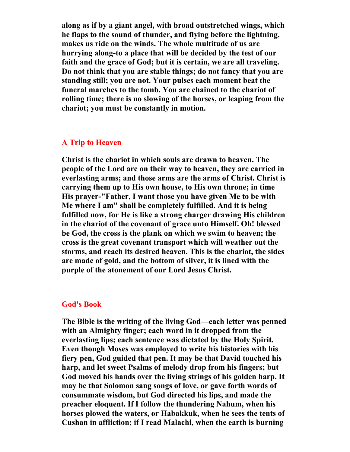**along as if by a giant angel, with broad outstretched wings, which he flaps to the sound of thunder, and flying before the lightning, makes us ride on the winds. The whole multitude of us are hurrying along-to a place that will be decided by the test of our faith and the grace of God; but it is certain, we are all traveling. Do not think that you are stable things; do not fancy that you are standing still; you are not. Your pulses each moment beat the funeral marches to the tomb. You are chained to the chariot of rolling time; there is no slowing of the horses, or leaping from the chariot; you must be constantly in motion.** 

# **A Trip to Heaven**

**Christ is the chariot in which souls are drawn to heaven. The people of the Lord are on their way to heaven, they are carried in everlasting arms; and those arms are the arms of Christ. Christ is carrying them up to His own house, to His own throne; in time His prayer-"Father, I want those you have given Me to be with Me where I am" shall be completely fulfilled. And it is being fulfilled now, for He is like a strong charger drawing His children in the chariot of the covenant of grace unto Himself. Oh! blessed be God, the cross is the plank on which we swim to heaven; the cross is the great covenant transport which will weather out the storms, and reach its desired heaven. This is the chariot, the sides are made of gold, and the bottom of silver, it is lined with the purple of the atonement of our Lord Jesus Christ.** 

#### **God's Book**

**The Bible is the writing of the living God—each letter was penned with an Almighty finger; each word in it dropped from the everlasting lips; each sentence was dictated by the Holy Spirit. Even though Moses was employed to write his histories with his fiery pen, God guided that pen. It may be that David touched his harp, and let sweet Psalms of melody drop from his fingers; but God moved his hands over the living strings of his golden harp. It may be that Solomon sang songs of love, or gave forth words of consummate wisdom, but God directed his lips, and made the preacher eloquent. If I follow the thundering Nahum, when his horses plowed the waters, or Habakkuk, when he sees the tents of Cushan in affliction; if I read Malachi, when the earth is burning**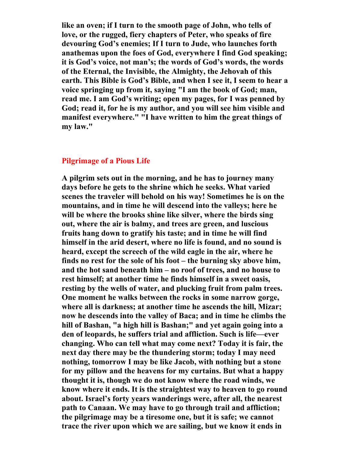**like an oven; if I turn to the smooth page of John, who tells of love, or the rugged, fiery chapters of Peter, who speaks of fire devouring God's enemies; If I turn to Jude, who launches forth anathemas upon the foes of God, everywhere I find God speaking; it is God's voice, not man's; the words of God's words, the words of the Eternal, the Invisible, the Almighty, the Jehovah of this earth. This Bible is God's Bible, and when I see it, I seem to hear a voice springing up from it, saying "I am the book of God; man, read me. I am God's writing; open my pages, for I was penned by God; read it, for he is my author, and you will see him visible and manifest everywhere." "I have written to him the great things of my law."** 

# **Pilgrimage of a Pious Life**

**A pilgrim sets out in the morning, and he has to journey many days before he gets to the shrine which he seeks. What varied scenes the traveler will behold on his way! Sometimes he is on the mountains, and in time he will descend into the valleys; here he will be where the brooks shine like silver, where the birds sing out, where the air is balmy, and trees are green, and luscious fruits hang down to gratify his taste; and in time he will find himself in the arid desert, where no life is found, and no sound is heard, except the screech of the wild eagle in the air, where he finds no rest for the sole of his foot – the burning sky above him, and the hot sand beneath him – no roof of trees, and no house to rest himself; at another time he finds himself in a sweet oasis, resting by the wells of water, and plucking fruit from palm trees. One moment he walks between the rocks in some narrow gorge, where all is darkness; at another time he ascends the hill, Mizar; now he descends into the valley of Baca; and in time he climbs the hill of Bashan, "a high hill is Bashan;" and yet again going into a den of leopards, he suffers trial and affliction. Such is life—ever changing. Who can tell what may come next? Today it is fair, the next day there may be the thundering storm; today I may need nothing, tomorrow I may be like Jacob, with nothing but a stone for my pillow and the heavens for my curtains. But what a happy thought it is, though we do not know where the road winds, we know where it ends. It is the straightest way to heaven to go round about. Israel's forty years wanderings were, after all, the nearest path to Canaan. We may have to go through trail and affliction; the pilgrimage may be a tiresome one, but it is safe; we cannot trace the river upon which we are sailing, but we know it ends in**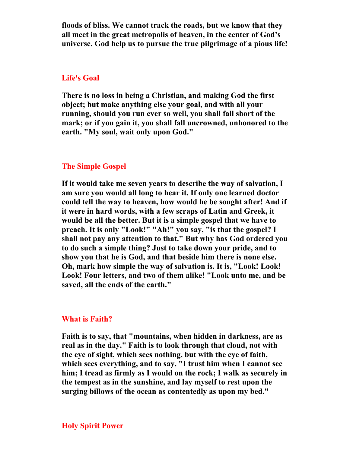**floods of bliss. We cannot track the roads, but we know that they all meet in the great metropolis of heaven, in the center of God's universe. God help us to pursue the true pilgrimage of a pious life!** 

#### **Life's Goal**

**There is no loss in being a Christian, and making God the first object; but make anything else your goal, and with all your running, should you run ever so well, you shall fall short of the mark; or if you gain it, you shall fall uncrowned, unhonored to the earth. "My soul, wait only upon God."** 

#### **The Simple Gospel**

**If it would take me seven years to describe the way of salvation, I am sure you would all long to hear it. If only one learned doctor could tell the way to heaven, how would he be sought after! And if it were in hard words, with a few scraps of Latin and Greek, it would be all the better. But it is a simple gospel that we have to preach. It is only "Look!" "Ah!" you say, "is that the gospel? I shall not pay any attention to that." But why has God ordered you to do such a simple thing? Just to take down your pride, and to show you that he is God, and that beside him there is none else. Oh, mark how simple the way of salvation is. It is, "Look! Look! Look! Four letters, and two of them alike! "Look unto me, and be saved, all the ends of the earth."** 

#### **What is Faith?**

**Faith is to say, that "mountains, when hidden in darkness, are as real as in the day." Faith is to look through that cloud, not with the eye of sight, which sees nothing, but with the eye of faith, which sees everything, and to say, "I trust him when I cannot see him; I tread as firmly as I would on the rock; I walk as securely in the tempest as in the sunshine, and lay myself to rest upon the surging billows of the ocean as contentedly as upon my bed."**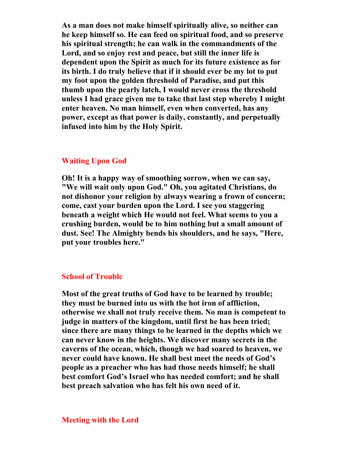**As a man does not make himself spiritually alive, so neither can he keep himself so. He can feed on spiritual food, and so preserve his spiritual strength; he can walk in the commandments of the Lord, and so enjoy rest and peace, but still the inner life is dependent upon the Spirit as much for its future existence as for its birth. I do truly believe that if it should ever be my lot to put my foot upon the golden threshold of Paradise, and put this thumb upon the pearly latch, I would never cross the threshold unless I had grace given me to take that last step whereby I might enter heaven. No man himself, even when converted, has any power, except as that power is daily, constantly, and perpetually infused into him by the Holy Spirit.** 

### **Waiting Upon God**

**Oh! It is a happy way of smoothing sorrow, when we can say, "We will wait only upon God." Oh, you agitated Christians, do not dishonor your religion by always wearing a frown of concern; come, cast your burden upon the Lord. I see you staggering beneath a weight which He would not feel. What seems to you a crushing burden, would be to him nothing but a small amount of dust. See! The Almighty bends his shoulders, and he says, "Here, put your troubles here."** 

# **School of Trouble**

**Most of the great truths of God have to be learned by trouble; they must be burned into us with the hot iron of affliction, otherwise we shall not truly receive them. No man is competent to judge in matters of the kingdom, until first he has been tried; since there are many things to be learned in the depths which we can never know in the heights. We discover many secrets in the caverns of the ocean, which, though we had soared to heaven, we never could have known. He shall best meet the needs of God's people as a preacher who has had those needs himself; he shall best comfort God's Israel who has needed comfort; and he shall best preach salvation who has felt his own need of it.**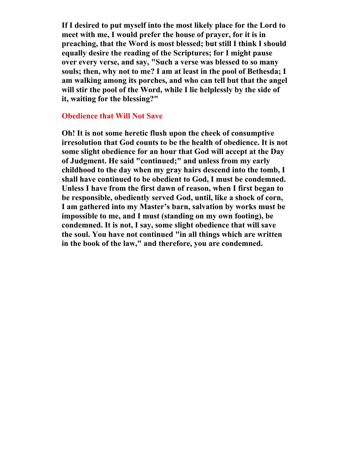**If I desired to put myself into the most likely place for the Lord to meet with me, I would prefer the house of prayer, for it is in preaching, that the Word is most blessed; but still I think I should equally desire the reading of the Scriptures; for I might pause over every verse, and say, "Such a verse was blessed to so many souls; then, why not to me? I am at least in the pool of Bethesda; I am walking among its porches, and who can tell but that the angel will stir the pool of the Word, while I lie helplessly by the side of it, waiting for the blessing?"** 

#### **Obedience that Will Not Save**

**Oh! It is not some heretic flush upon the cheek of consumptive irresolution that God counts to be the health of obedience. It is not some slight obedience for an hour that God will accept at the Day of Judgment. He said "continued;" and unless from my early childhood to the day when my gray hairs descend into the tomb, I shall have continued to be obedient to God, I must be condemned. Unless I have from the first dawn of reason, when I first began to be responsible, obediently served God, until, like a shock of corn, I am gathered into my Master's barn, salvation by works must be impossible to me, and I must (standing on my own footing), be condemned. It is not, I say, some slight obedience that will save the soul. You have not continued "in all things which are written in the book of the law," and therefore, you are condemned.**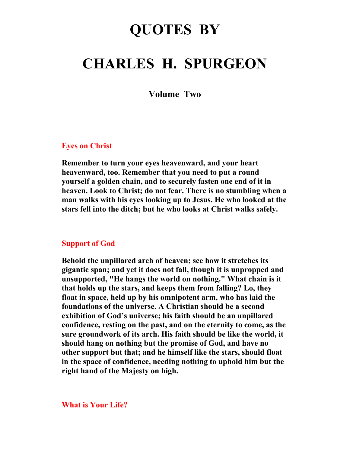# **QUOTES BY**

# **CHARLES H. SPURGEON**

**Volume Two** 

### **Eyes on Christ**

**Remember to turn your eyes heavenward, and your heart heavenward, too. Remember that you need to put a round yourself a golden chain, and to securely fasten one end of it in heaven. Look to Christ; do not fear. There is no stumbling when a man walks with his eyes looking up to Jesus. He who looked at the stars fell into the ditch; but he who looks at Christ walks safely.** 

#### **Support of God**

**Behold the unpillared arch of heaven; see how it stretches its gigantic span; and yet it does not fall, though it is unpropped and unsupported, "He hangs the world on nothing." What chain is it that holds up the stars, and keeps them from falling? Lo, they float in space, held up by his omnipotent arm, who has laid the foundations of the universe. A Christian should be a second exhibition of God's universe; his faith should be an unpillared confidence, resting on the past, and on the eternity to come, as the sure groundwork of its arch. His faith should be like the world, it should hang on nothing but the promise of God, and have no other support but that; and he himself like the stars, should float in the space of confidence, needing nothing to uphold him but the right hand of the Majesty on high.** 

#### **What is Your Life?**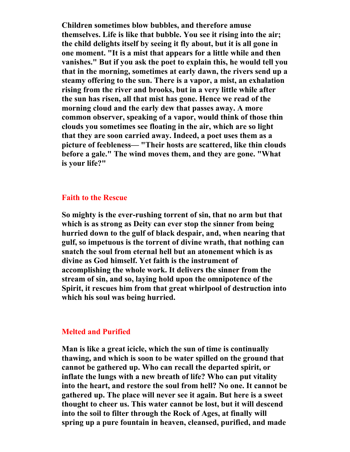**Children sometimes blow bubbles, and therefore amuse themselves. Life is like that bubble. You see it rising into the air; the child delights itself by seeing it fly about, but it is all gone in one moment. "It is a mist that appears for a little while and then vanishes." But if you ask the poet to explain this, he would tell you that in the morning, sometimes at early dawn, the rivers send up a steamy offering to the sun. There is a vapor, a mist, an exhalation rising from the river and brooks, but in a very little while after the sun has risen, all that mist has gone. Hence we read of the morning cloud and the early dew that passes away. A more common observer, speaking of a vapor, would think of those thin clouds you sometimes see floating in the air, which are so light that they are soon carried away. Indeed, a poet uses them as a picture of feebleness— "Their hosts are scattered, like thin clouds before a gale." The wind moves them, and they are gone. "What is your life?"** 

#### **Faith to the Rescue**

**So mighty is the ever-rushing torrent of sin, that no arm but that which is as strong as Deity can ever stop the sinner from being hurried down to the gulf of black despair, and, when nearing that gulf, so impetuous is the torrent of divine wrath, that nothing can snatch the soul from eternal hell but an atonement which is as divine as God himself. Yet faith is the instrument of accomplishing the whole work. It delivers the sinner from the stream of sin, and so, laying hold upon the omnipotence of the Spirit, it rescues him from that great whirlpool of destruction into which his soul was being hurried.** 

#### **Melted and Purified**

**Man is like a great icicle, which the sun of time is continually thawing, and which is soon to be water spilled on the ground that cannot be gathered up. Who can recall the departed spirit, or inflate the lungs with a new breath of life? Who can put vitality into the heart, and restore the soul from hell? No one. It cannot be gathered up. The place will never see it again. But here is a sweet thought to cheer us. This water cannot be lost, but it will descend into the soil to filter through the Rock of Ages, at finally will spring up a pure fountain in heaven, cleansed, purified, and made**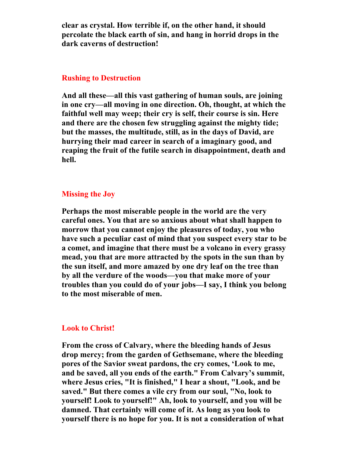**clear as crystal. How terrible if, on the other hand, it should percolate the black earth of sin, and hang in horrid drops in the dark caverns of destruction!** 

#### **Rushing to Destruction**

**And all these—all this vast gathering of human souls, are joining in one cry—all moving in one direction. Oh, thought, at which the faithful well may weep; their cry is self, their course is sin. Here and there are the chosen few struggling against the mighty tide; but the masses, the multitude, still, as in the days of David, are hurrying their mad career in search of a imaginary good, and reaping the fruit of the futile search in disappointment, death and hell.** 

# **Missing the Joy**

**Perhaps the most miserable people in the world are the very careful ones. You that are so anxious about what shall happen to morrow that you cannot enjoy the pleasures of today, you who have such a peculiar cast of mind that you suspect every star to be a comet, and imagine that there must be a volcano in every grassy mead, you that are more attracted by the spots in the sun than by the sun itself, and more amazed by one dry leaf on the tree than by all the verdure of the woods—you that make more of your troubles than you could do of your jobs—I say, I think you belong to the most miserable of men.** 

# **Look to Christ!**

**From the cross of Calvary, where the bleeding hands of Jesus drop mercy; from the garden of Gethsemane, where the bleeding pores of the Savior sweat pardons, the cry comes, 'Look to me, and be saved, all you ends of the earth." From Calvary's summit, where Jesus cries, "It is finished," I hear a shout, "Look, and be saved." But there comes a vile cry from our soul, "No, look to yourself! Look to yourself!" Ah, look to yourself, and you will be damned. That certainly will come of it. As long as you look to yourself there is no hope for you. It is not a consideration of what**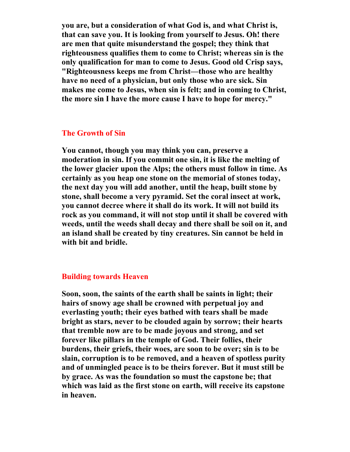**you are, but a consideration of what God is, and what Christ is, that can save you. It is looking from yourself to Jesus. Oh! there are men that quite misunderstand the gospel; they think that righteousness qualifies them to come to Christ; whereas sin is the only qualification for man to come to Jesus. Good old Crisp says, "Righteousness keeps me from Christ—those who are healthy have no need of a physician, but only those who are sick. Sin makes me come to Jesus, when sin is felt; and in coming to Christ, the more sin I have the more cause I have to hope for mercy."** 

# **The Growth of Sin**

**You cannot, though you may think you can, preserve a moderation in sin. If you commit one sin, it is like the melting of the lower glacier upon the Alps; the others must follow in time. As certainly as you heap one stone on the memorial of stones today, the next day you will add another, until the heap, built stone by stone, shall become a very pyramid. Set the coral insect at work, you cannot decree where it shall do its work. It will not build its rock as you command, it will not stop until it shall be covered with weeds, until the weeds shall decay and there shall be soil on it, and an island shall be created by tiny creatures. Sin cannot be held in with bit and bridle.** 

#### **Building towards Heaven**

**Soon, soon, the saints of the earth shall be saints in light; their hairs of snowy age shall be crowned with perpetual joy and everlasting youth; their eyes bathed with tears shall be made bright as stars, never to be clouded again by sorrow; their hearts that tremble now are to be made joyous and strong, and set forever like pillars in the temple of God. Their follies, their burdens, their griefs, their woes, are soon to be over; sin is to be slain, corruption is to be removed, and a heaven of spotless purity and of unmingled peace is to be theirs forever. But it must still be by grace. As was the foundation so must the capstone be; that which was laid as the first stone on earth, will receive its capstone in heaven.**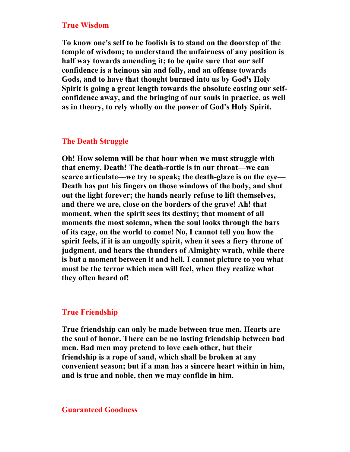#### **True Wisdom**

**To know one's self to be foolish is to stand on the doorstep of the temple of wisdom; to understand the unfairness of any position is half way towards amending it; to be quite sure that our self confidence is a heinous sin and folly, and an offense towards Gods, and to have that thought burned into us by God's Holy Spirit is going a great length towards the absolute casting our selfconfidence away, and the bringing of our souls in practice, as well as in theory, to rely wholly on the power of God's Holy Spirit.** 

# **The Death Struggle**

**Oh! How solemn will be that hour when we must struggle with that enemy, Death! The death-rattle is in our throat—we can scarce articulate—we try to speak; the death-glaze is on the eye— Death has put his fingers on those windows of the body, and shut out the light forever; the hands nearly refuse to lift themselves, and there we are, close on the borders of the grave! Ah! that moment, when the spirit sees its destiny; that moment of all moments the most solemn, when the soul looks through the bars of its cage, on the world to come! No, I cannot tell you how the spirit feels, if it is an ungodly spirit, when it sees a fiery throne of judgment, and hears the thunders of Almighty wrath, while there is but a moment between it and hell. I cannot picture to you what must be the terror which men will feel, when they realize what they often heard of!** 

# **True Friendship**

**True friendship can only be made between true men. Hearts are the soul of honor. There can be no lasting friendship between bad men. Bad men may pretend to love each other, but their friendship is a rope of sand, which shall be broken at any convenient season; but if a man has a sincere heart within in him, and is true and noble, then we may confide in him.** 

# **Guaranteed Goodness**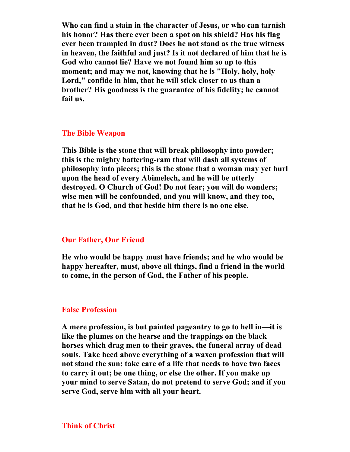**Who can find a stain in the character of Jesus, or who can tarnish his honor? Has there ever been a spot on his shield? Has his flag ever been trampled in dust? Does he not stand as the true witness in heaven, the faithful and just? Is it not declared of him that he is God who cannot lie? Have we not found him so up to this moment; and may we not, knowing that he is "Holy, holy, holy Lord," confide in him, that he will stick closer to us than a brother? His goodness is the guarantee of his fidelity; he cannot fail us.** 

#### **The Bible Weapon**

**This Bible is the stone that will break philosophy into powder; this is the mighty battering-ram that will dash all systems of philosophy into pieces; this is the stone that a woman may yet hurl upon the head of every Abimelech, and he will be utterly destroyed. O Church of God! Do not fear; you will do wonders; wise men will be confounded, and you will know, and they too, that he is God, and that beside him there is no one else.** 

#### **Our Father, Our Friend**

**He who would be happy must have friends; and he who would be happy hereafter, must, above all things, find a friend in the world to come, in the person of God, the Father of his people.** 

#### **False Profession**

**A mere profession, is but painted pageantry to go to hell in—it is like the plumes on the hearse and the trappings on the black horses which drag men to their graves, the funeral array of dead souls. Take heed above everything of a waxen profession that will not stand the sun; take care of a life that needs to have two faces to carry it out; be one thing, or else the other. If you make up your mind to serve Satan, do not pretend to serve God; and if you serve God, serve him with all your heart.**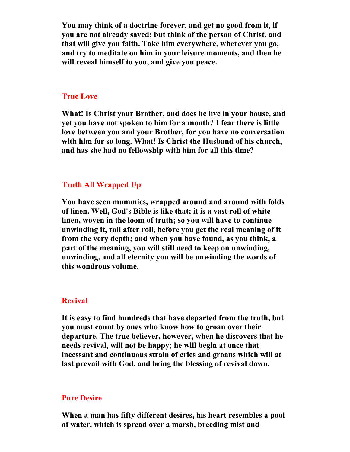**You may think of a doctrine forever, and get no good from it, if you are not already saved; but think of the person of Christ, and that will give you faith. Take him everywhere, wherever you go, and try to meditate on him in your leisure moments, and then he will reveal himself to you, and give you peace.** 

# **True Love**

**What! Is Christ your Brother, and does he live in your house, and yet you have not spoken to him for a month? I fear there is little love between you and your Brother, for you have no conversation with him for so long. What! Is Christ the Husband of his church, and has she had no fellowship with him for all this time?** 

# **Truth All Wrapped Up**

**You have seen mummies, wrapped around and around with folds of linen. Well, God's Bible is like that; it is a vast roll of white linen, woven in the loom of truth; so you will have to continue unwinding it, roll after roll, before you get the real meaning of it from the very depth; and when you have found, as you think, a part of the meaning, you will still need to keep on unwinding, unwinding, and all eternity you will be unwinding the words of this wondrous volume.** 

# **Revival**

**It is easy to find hundreds that have departed from the truth, but you must count by ones who know how to groan over their departure. The true believer, however, when he discovers that he needs revival, will not be happy; he will begin at once that incessant and continuous strain of cries and groans which will at last prevail with God, and bring the blessing of revival down.** 

# **Pure Desire**

**When a man has fifty different desires, his heart resembles a pool of water, which is spread over a marsh, breeding mist and**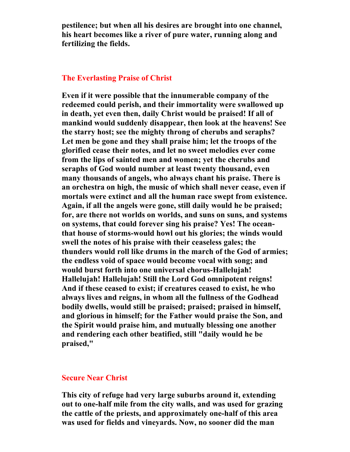**pestilence; but when all his desires are brought into one channel, his heart becomes like a river of pure water, running along and fertilizing the fields.** 

# **The Everlasting Praise of Christ**

**Even if it were possible that the innumerable company of the redeemed could perish, and their immortality were swallowed up in death, yet even then, daily Christ would be praised! If all of mankind would suddenly disappear, then look at the heavens! See the starry host; see the mighty throng of cherubs and seraphs? Let men be gone and they shall praise him; let the troops of the glorified cease their notes, and let no sweet melodies ever come from the lips of sainted men and women; yet the cherubs and seraphs of God would number at least twenty thousand, even many thousands of angels, who always chant his praise. There is an orchestra on high, the music of which shall never cease, even if mortals were extinct and all the human race swept from existence. Again, if all the angels were gone, still daily would he be praised; for, are there not worlds on worlds, and suns on suns, and systems on systems, that could forever sing his praise? Yes! The oceanthat house of storms-would howl out his glories; the winds would swell the notes of his praise with their ceaseless gales; the thunders would roll like drums in the march of the God of armies; the endless void of space would become vocal with song; and would burst forth into one universal chorus-Hallelujah! Hallelujah! Hallelujah! Still the Lord God omnipotent reigns! And if these ceased to exist; if creatures ceased to exist, he who always lives and reigns, in whom all the fullness of the Godhead bodily dwells, would still be praised; praised; praised in himself, and glorious in himself; for the Father would praise the Son, and the Spirit would praise him, and mutually blessing one another and rendering each other beatified, still "daily would he be praised,"** 

# **Secure Near Christ**

**This city of refuge had very large suburbs around it, extending out to one-half mile from the city walls, and was used for grazing the cattle of the priests, and approximately one-half of this area was used for fields and vineyards. Now, no sooner did the man**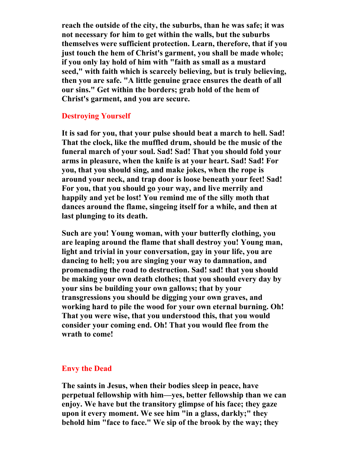**reach the outside of the city, the suburbs, than he was safe; it was not necessary for him to get within the walls, but the suburbs themselves were sufficient protection. Learn, therefore, that if you just touch the hem of Christ's garment, you shall be made whole; if you only lay hold of him with "faith as small as a mustard seed," with faith which is scarcely believing, but is truly believing, then you are safe. "A little genuine grace ensures the death of all our sins." Get within the borders; grab hold of the hem of Christ's garment, and you are secure.** 

# **Destroying Yourself**

**It is sad for you, that your pulse should beat a march to hell. Sad! That the clock, like the muffled drum, should be the music of the funeral march of your soul. Sad! Sad! That you should fold your arms in pleasure, when the knife is at your heart. Sad! Sad! For you, that you should sing, and make jokes, when the rope is around your neck, and trap door is loose beneath your feet! Sad! For you, that you should go your way, and live merrily and happily and yet be lost! You remind me of the silly moth that dances around the flame, singeing itself for a while, and then at last plunging to its death.** 

**Such are you! Young woman, with your butterfly clothing, you are leaping around the flame that shall destroy you! Young man, light and trivial in your conversation, gay in your life, you are dancing to hell; you are singing your way to damnation, and promenading the road to destruction. Sad! sad! that you should be making your own death clothes; that you should every day by your sins be building your own gallows; that by your transgressions you should be digging your own graves, and working hard to pile the wood for your own eternal burning. Oh! That you were wise, that you understood this, that you would consider your coming end. Oh! That you would flee from the wrath to come!** 

#### **Envy the Dead**

**The saints in Jesus, when their bodies sleep in peace, have perpetual fellowship with him—yes, better fellowship than we can enjoy. We have but the transitory glimpse of his face; they gaze upon it every moment. We see him "in a glass, darkly;" they behold him "face to face." We sip of the brook by the way; they**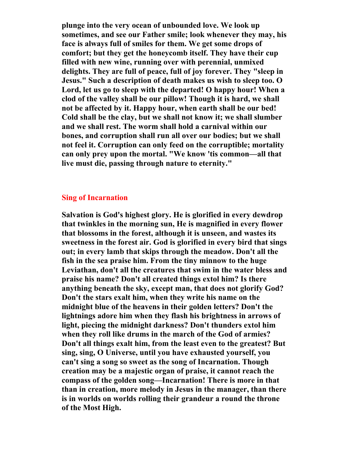**plunge into the very ocean of unbounded love. We look up sometimes, and see our Father smile; look whenever they may, his face is always full of smiles for them. We get some drops of comfort; but they get the honeycomb itself. They have their cup filled with new wine, running over with perennial, unmixed delights. They are full of peace, full of joy forever. They "sleep in Jesus." Such a description of death makes us wish to sleep too. O Lord, let us go to sleep with the departed! O happy hour! When a clod of the valley shall be our pillow! Though it is hard, we shall not be affected by it. Happy hour, when earth shall be our bed! Cold shall be the clay, but we shall not know it; we shall slumber and we shall rest. The worm shall hold a carnival within our bones, and corruption shall run all over our bodies; but we shall not feel it. Corruption can only feed on the corruptible; mortality can only prey upon the mortal. "We know 'tis common—all that live must die, passing through nature to eternity."** 

# **Sing of Incarnation**

**Salvation is God's highest glory. He is glorified in every dewdrop that twinkles in the morning sun, He is magnified in every flower that blossoms in the forest, although it is unseen, and wastes its sweetness in the forest air. God is glorified in every bird that sings out; in every lamb that skips through the meadow. Don't all the fish in the sea praise him. From the tiny minnow to the huge Leviathan, don't all the creatures that swim in the water bless and praise his name? Don't all created things extol him? Is there anything beneath the sky, except man, that does not glorify God? Don't the stars exalt him, when they write his name on the midnight blue of the heavens in their golden letters? Don't the lightnings adore him when they flash his brightness in arrows of light, piecing the midnight darkness? Don't thunders extol him when they roll like drums in the march of the God of armies? Don't all things exalt him, from the least even to the greatest? But sing, sing, O Universe, until you have exhausted yourself, you can't sing a song so sweet as the song of Incarnation. Though creation may be a majestic organ of praise, it cannot reach the compass of the golden song—Incarnation! There is more in that than in creation, more melody in Jesus in the manager, than there is in worlds on worlds rolling their grandeur a round the throne of the Most High.**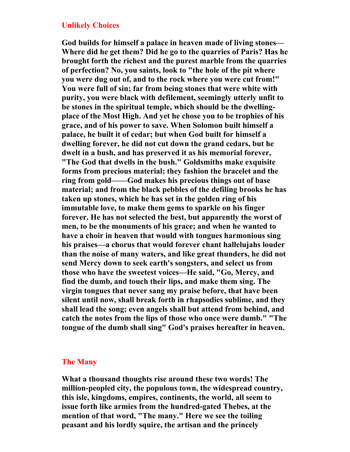#### **Unlikely Choices**

**God builds for himself a palace in heaven made of living stones— Where did he get them? Did he go to the quarries of Paris? Has he brought forth the richest and the purest marble from the quarries of perfection? No, you saints, look to "the hole of the pit where you were dug out of, and to the rock where you were cut from!" You were full of sin; far from being stones that were white with purity, you were black with defilement, seemingly utterly unfit to be stones in the spiritual temple, which should be the dwellingplace of the Most High. And yet he chose you to be trophies of his grace, and of his power to save. When Solomon built himself a palace, he built it of cedar; but when God built for himself a dwelling forever, he did not cut down the grand cedars, but he dwelt in a bush, and has preserved it as his memorial forever, "The God that dwells in the bush." Goldsmiths make exquisite forms from precious material; they fashion the bracelet and the ring from gold——God makes his precious things out of base material; and from the black pebbles of the defiling brooks he has taken up stones, which he has set in the golden ring of his immutable love, to make them gems to sparkle on his finger forever. He has not selected the best, but apparently the worst of men, to be the monuments of his grace; and when he wanted to have a choir in heaven that would with tongues harmonious sing his praises—a chorus that would forever chant hallelujahs louder than the noise of many waters, and like great thunders, he did not send Mercy down to seek earth's songsters, and select us from those who have the sweetest voices—He said, "Go, Mercy, and find the dumb, and touch their lips, and make them sing. The virgin tongues that never sang my praise before, that have been silent until now, shall break forth in rhapsodies sublime, and they shall lead the song; even angels shall but attend from behind, and catch the notes from the lips of those who once were dumb." "The tongue of the dumb shall sing" God's praises hereafter in heaven.** 

# **The Many**

**What a thousand thoughts rise around these two words! The million-peopled city, the populous town, the widespread country, this isle, kingdoms, empires, continents, the world, all seem to issue forth like armies from the hundred-gated Thebes, at the mention of that word, "The many." Here we see the toiling peasant and his lordly squire, the artisan and the princely**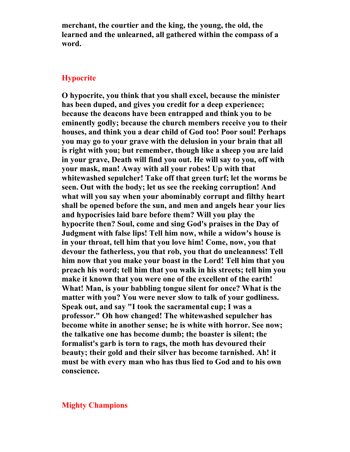**merchant, the courtier and the king, the young, the old, the learned and the unlearned, all gathered within the compass of a word.** 

#### **Hypocrite**

**O hypocrite, you think that you shall excel, because the minister has been duped, and gives you credit for a deep experience; because the deacons have been entrapped and think you to be eminently godly; because the church members receive you to their houses, and think you a dear child of God too! Poor soul! Perhaps you may go to your grave with the delusion in your brain that all is right with you; but remember, though like a sheep you are laid in your grave, Death will find you out. He will say to you, off with your mask, man! Away with all your robes! Up with that whitewashed sepulcher! Take off that green turf; let the worms be seen. Out with the body; let us see the reeking corruption! And what will you say when your abominably corrupt and filthy heart shall be opened before the sun, and men and angels hear your lies and hypocrisies laid bare before them? Will you play the hypocrite then? Soul, come and sing God's praises in the Day of Judgment with false lips! Tell him now, while a widow's house is in your throat, tell him that you love him! Come, now, you that devour the fatherless, you that rob, you that do uncleanness! Tell him now that you make your boast in the Lord! Tell him that you preach his word; tell him that you walk in his streets; tell him you make it known that you were one of the excellent of the earth! What! Man, is your babbling tongue silent for once? What is the matter with you? You were never slow to talk of your godliness. Speak out, and say "I took the sacramental cup; I was a professor." Oh how changed! The whitewashed sepulcher has become white in another sense; he is white with horror. See now; the talkative one has become dumb; the boaster is silent; the formalist's garb is torn to rags, the moth has devoured their beauty; their gold and their silver has become tarnished. Ah! it must be with every man who has thus lied to God and to his own conscience.** 

# **Mighty Champions**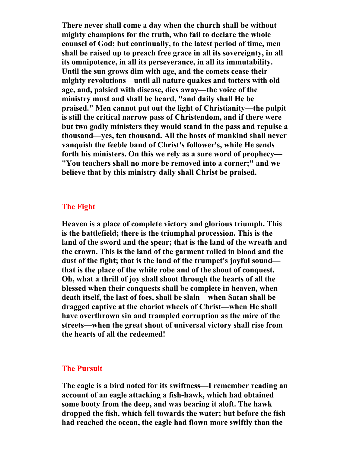**There never shall come a day when the church shall be without mighty champions for the truth, who fail to declare the whole counsel of God; but continually, to the latest period of time, men shall be raised up to preach free grace in all its sovereignty, in all its omnipotence, in all its perseverance, in all its immutability. Until the sun grows dim with age, and the comets cease their mighty revolutions—until all nature quakes and totters with old age, and, palsied with disease, dies away—the voice of the ministry must and shall be heard, "and daily shall He be praised." Men cannot put out the light of Christianity—the pulpit is still the critical narrow pass of Christendom, and if there were but two godly ministers they would stand in the pass and repulse a thousand—yes, ten thousand. All the hosts of mankind shall never vanquish the feeble band of Christ's follower's, while He sends forth his ministers. On this we rely as a sure word of prophecy— "You teachers shall no more be removed into a corner;" and we believe that by this ministry daily shall Christ be praised.** 

# **The Fight**

**Heaven is a place of complete victory and glorious triumph. This is the battlefield; there is the triumphal procession. This is the land of the sword and the spear; that is the land of the wreath and the crown. This is the land of the garment rolled in blood and the dust of the fight; that is the land of the trumpet's joyful sound that is the place of the white robe and of the shout of conquest. Oh, what a thrill of joy shall shoot through the hearts of all the blessed when their conquests shall be complete in heaven, when death itself, the last of foes, shall be slain—when Satan shall be dragged captive at the chariot wheels of Christ—when He shall have overthrown sin and trampled corruption as the mire of the streets—when the great shout of universal victory shall rise from the hearts of all the redeemed!** 

#### **The Pursuit**

**The eagle is a bird noted for its swiftness—I remember reading an account of an eagle attacking a fish-hawk, which had obtained some booty from the deep, and was bearing it aloft. The hawk dropped the fish, which fell towards the water; but before the fish had reached the ocean, the eagle had flown more swiftly than the**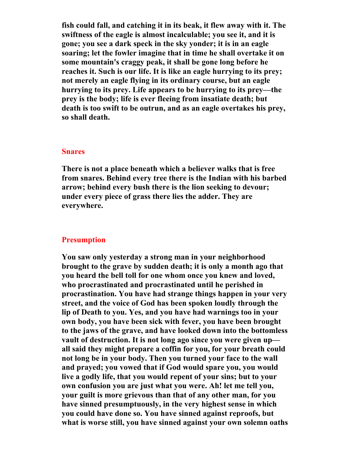**fish could fall, and catching it in its beak, it flew away with it. The swiftness of the eagle is almost incalculable; you see it, and it is gone; you see a dark speck in the sky yonder; it is in an eagle soaring; let the fowler imagine that in time he shall overtake it on some mountain's craggy peak, it shall be gone long before he reaches it. Such is our life. It is like an eagle hurrying to its prey; not merely an eagle flying in its ordinary course, but an eagle hurrying to its prey. Life appears to be hurrying to its prey—the prey is the body; life is ever fleeing from insatiate death; but death is too swift to be outrun, and as an eagle overtakes his prey, so shall death.** 

#### **Snares**

**There is not a place beneath which a believer walks that is free from snares. Behind every tree there is the Indian with his barbed arrow; behind every bush there is the lion seeking to devour; under every piece of grass there lies the adder. They are everywhere.** 

# **Presumption**

**You saw only yesterday a strong man in your neighborhood brought to the grave by sudden death; it is only a month ago that you heard the bell toll for one whom once you knew and loved, who procrastinated and procrastinated until he perished in procrastination. You have had strange things happen in your very street, and the voice of God has been spoken loudly through the lip of Death to you. Yes, and you have had warnings too in your own body, you have been sick with fever, you have been brought to the jaws of the grave, and have looked down into the bottomless vault of destruction. It is not long ago since you were given up all said they might prepare a coffin for you, for your breath could not long be in your body. Then you turned your face to the wall and prayed; you vowed that if God would spare you, you would live a godly life, that you would repent of your sins; but to your own confusion you are just what you were. Ah! let me tell you, your guilt is more grievous than that of any other man, for you have sinned presumptuously, in the very highest sense in which you could have done so. You have sinned against reproofs, but what is worse still, you have sinned against your own solemn oaths**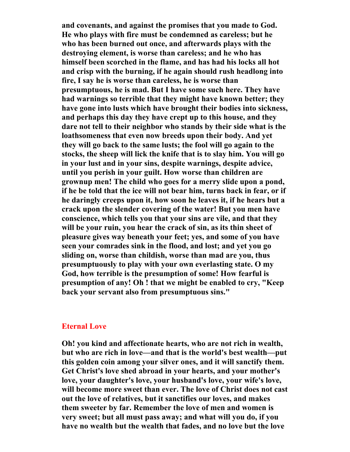**and covenants, and against the promises that you made to God. He who plays with fire must be condemned as careless; but he who has been burned out once, and afterwards plays with the destroying element, is worse than careless; and he who has himself been scorched in the flame, and has had his locks all hot and crisp with the burning, if he again should rush headlong into fire, I say he is worse than careless, he is worse than presumptuous, he is mad. But I have some such here. They have had warnings so terrible that they might have known better; they have gone into lusts which have brought their bodies into sickness, and perhaps this day they have crept up to this house, and they dare not tell to their neighbor who stands by their side what is the loathsomeness that even now breeds upon their body. And yet they will go back to the same lusts; the fool will go again to the stocks, the sheep will lick the knife that is to slay him. You will go in your lust and in your sins, despite warnings, despite advice, until you perish in your guilt. How worse than children are grownup men! The child who goes for a merry slide upon a pond, if he be told that the ice will not bear him, turns back in fear, or if he daringly creeps upon it, how soon he leaves it, if he hears but a crack upon the slender covering of the water! But you men have conscience, which tells you that your sins are vile, and that they will be your ruin, you hear the crack of sin, as its thin sheet of pleasure gives way beneath your feet; yes, and some of you have seen your comrades sink in the flood, and lost; and yet you go sliding on, worse than childish, worse than mad are you, thus presumptuously to play with your own everlasting state. O my God, how terrible is the presumption of some! How fearful is presumption of any! Oh ! that we might be enabled to cry, "Keep back your servant also from presumptuous sins."** 

#### **Eternal Love**

**Oh! you kind and affectionate hearts, who are not rich in wealth, but who are rich in love—and that is the world's best wealth—put this golden coin among your silver ones, and it will sanctify them. Get Christ's love shed abroad in your hearts, and your mother's love, your daughter's love, your husband's love, your wife's love, will become more sweet than ever. The love of Christ does not cast out the love of relatives, but it sanctifies our loves, and makes them sweeter by far. Remember the love of men and women is very sweet; but all must pass away; and what will you do, if you have no wealth but the wealth that fades, and no love but the love**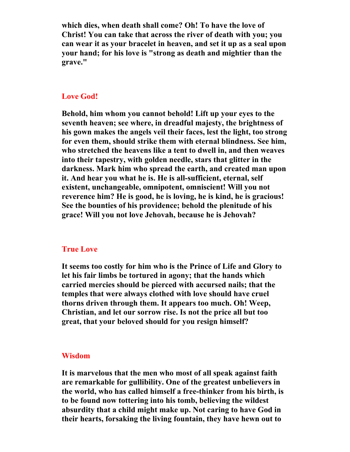**which dies, when death shall come? Oh! To have the love of Christ! You can take that across the river of death with you; you can wear it as your bracelet in heaven, and set it up as a seal upon your hand; for his love is "strong as death and mightier than the grave."** 

# **Love God!**

**Behold, him whom you cannot behold! Lift up your eyes to the seventh heaven; see where, in dreadful majesty, the brightness of his gown makes the angels veil their faces, lest the light, too strong for even them, should strike them with eternal blindness. See him, who stretched the heavens like a tent to dwell in, and then weaves into their tapestry, with golden needle, stars that glitter in the darkness. Mark him who spread the earth, and created man upon it. And hear you what he is. He is all-sufficient, eternal, self existent, unchangeable, omnipotent, omniscient! Will you not reverence him? He is good, he is loving, he is kind, he is gracious! See the bounties of his providence; behold the plenitude of his grace! Will you not love Jehovah, because he is Jehovah?** 

# **True Love**

**It seems too costly for him who is the Prince of Life and Glory to let his fair limbs be tortured in agony; that the hands which carried mercies should be pierced with accursed nails; that the temples that were always clothed with love should have cruel thorns driven through them. It appears too much. Oh! Weep, Christian, and let our sorrow rise. Is not the price all but too great, that your beloved should for you resign himself?** 

#### **Wisdom**

**It is marvelous that the men who most of all speak against faith are remarkable for gullibility. One of the greatest unbelievers in the world, who has called himself a free-thinker from his birth, is to be found now tottering into his tomb, believing the wildest absurdity that a child might make up. Not caring to have God in their hearts, forsaking the living fountain, they have hewn out to**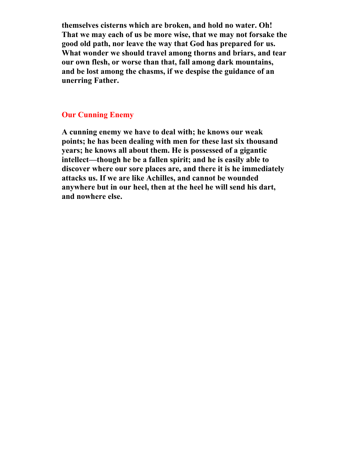**themselves cisterns which are broken, and hold no water. Oh! That we may each of us be more wise, that we may not forsake the good old path, nor leave the way that God has prepared for us. What wonder we should travel among thorns and briars, and tear our own flesh, or worse than that, fall among dark mountains, and be lost among the chasms, if we despise the guidance of an unerring Father.** 

# **Our Cunning Enemy**

**A cunning enemy we have to deal with; he knows our weak points; he has been dealing with men for these last six thousand years; he knows all about them. He is possessed of a gigantic intellect—though he be a fallen spirit; and he is easily able to discover where our sore places are, and there it is he immediately attacks us. If we are like Achilles, and cannot be wounded anywhere but in our heel, then at the heel he will send his dart, and nowhere else.**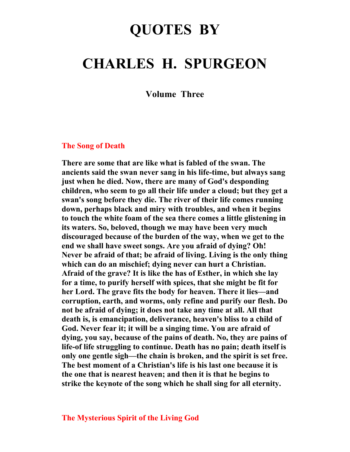# **QUOTES BY**

# **CHARLES H. SPURGEON**

**Volume Three** 

# **The Song of Death**

**There are some that are like what is fabled of the swan. The ancients said the swan never sang in his life-time, but always sang just when he died. Now, there are many of God's desponding children, who seem to go all their life under a cloud; but they get a swan's song before they die. The river of their life comes running down, perhaps black and miry with troubles, and when it begins to touch the white foam of the sea there comes a little glistening in its waters. So, beloved, though we may have been very much discouraged because of the burden of the way, when we get to the end we shall have sweet songs. Are you afraid of dying? Oh! Never be afraid of that; be afraid of living. Living is the only thing which can do an mischief; dying never can hurt a Christian. Afraid of the grave? It is like the has of Esther, in which she lay for a time, to purify herself with spices, that she might be fit for her Lord. The grave fits the body for heaven. There it lies—and corruption, earth, and worms, only refine and purify our flesh. Do not be afraid of dying; it does not take any time at all. All that death is, is emancipation, deliverance, heaven's bliss to a child of God. Never fear it; it will be a singing time. You are afraid of dying, you say, because of the pains of death. No, they are pains of life-of life struggling to continue. Death has no pain; death itself is only one gentle sigh—the chain is broken, and the spirit is set free. The best moment of a Christian's life is his last one because it is the one that is nearest heaven; and then it is that he begins to strike the keynote of the song which he shall sing for all eternity.**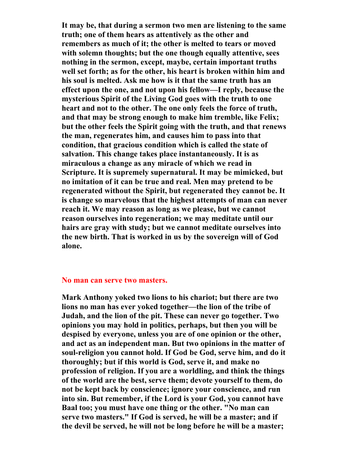**It may be, that during a sermon two men are listening to the same truth; one of them hears as attentively as the other and remembers as much of it; the other is melted to tears or moved with solemn thoughts; but the one though equally attentive, sees nothing in the sermon, except, maybe, certain important truths well set forth; as for the other, his heart is broken within him and his soul is melted. Ask me how is it that the same truth has an effect upon the one, and not upon his fellow—I reply, because the mysterious Spirit of the Living God goes with the truth to one heart and not to the other. The one only feels the force of truth, and that may be strong enough to make him tremble, like Felix; but the other feels the Spirit going with the truth, and that renews the man, regenerates him, and causes him to pass into that condition, that gracious condition which is called the state of salvation. This change takes place instantaneously. It is as miraculous a change as any miracle of which we read in Scripture. It is supremely supernatural. It may be mimicked, but no imitation of it can be true and real. Men may pretend to be regenerated without the Spirit, but regenerated they cannot be. It is change so marvelous that the highest attempts of man can never reach it. We may reason as long as we please, but we cannot reason ourselves into regeneration; we may meditate until our hairs are gray with study; but we cannot meditate ourselves into the new birth. That is worked in us by the sovereign will of God alone.** 

#### **No man can serve two masters.**

**Mark Anthony yoked two lions to his chariot; but there are two lions no man has ever yoked together—the lion of the tribe of Judah, and the lion of the pit. These can never go together. Two opinions you may hold in politics, perhaps, but then you will be despised by everyone, unless you are of one opinion or the other, and act as an independent man. But two opinions in the matter of soul-religion you cannot hold. If God be God, serve him, and do it thoroughly; but if this world is God, serve it, and make no profession of religion. If you are a worldling, and think the things of the world are the best, serve them; devote yourself to them, do not be kept back by conscience; ignore your conscience, and run into sin. But remember, if the Lord is your God, you cannot have Baal too; you must have one thing or the other. "No man can serve two masters." If God is served, he will be a master; and if the devil be served, he will not be long before he will be a master;**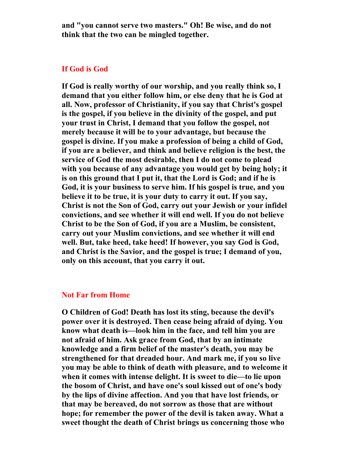**and "you cannot serve two masters." Oh! Be wise, and do not think that the two can be mingled together.** 

#### **If God is God**

**If God is really worthy of our worship, and you really think so, I demand that you either follow him, or else deny that he is God at all. Now, professor of Christianity, if you say that Christ's gospel is the gospel, if you believe in the divinity of the gospel, and put your trust in Christ, I demand that you follow the gospel, not merely because it will be to your advantage, but because the gospel is divine. If you make a profession of being a child of God, if you are a believer, and think and believe religion is the best, the service of God the most desirable, then I do not come to plead with you because of any advantage you would get by being holy; it is on this ground that I put it, that the Lord is God; and if he is God, it is your business to serve him. If his gospel is true, and you believe it to be true, it is your duty to carry it out. If you say, Christ is not the Son of God, carry out your Jewish or your infidel convictions, and see whether it will end well. If you do not believe Christ to be the Son of God, if you are a Muslim, be consistent, carry out your Muslim convictions, and see whether it will end well. But, take heed, take heed! If however, you say God is God, and Christ is the Savior, and the gospel is true; I demand of you, only on this account, that you carry it out.** 

#### **Not Far from Home**

**O Children of God! Death has lost its sting, because the devil's power over it is destroyed. Then cease being afraid of dying. You know what death is—look him in the face, and tell him you are not afraid of him. Ask grace from God, that by an intimate knowledge and a firm belief of the master's death, you may be strengthened for that dreaded hour. And mark me, if you so live you may be able to think of death with pleasure, and to welcome it when it comes with intense delight. It is sweet to die—to lie upon the bosom of Christ, and have one's soul kissed out of one's body by the lips of divine affection. And you that have lost friends, or that may be bereaved, do not sorrow as those that are without hope; for remember the power of the devil is taken away. What a sweet thought the death of Christ brings us concerning those who**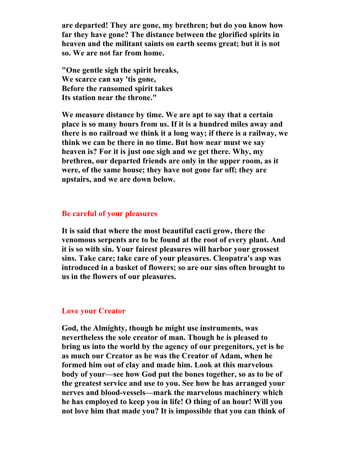**are departed! They are gone, my brethren; but do you know how far they have gone? The distance between the glorified spirits in heaven and the militant saints on earth seems great; but it is not so. We are not far from home.** 

**"One gentle sigh the spirit breaks, We scarce can say 'tis gone, Before the ransomed spirit takes Its station near the throne."** 

**We measure distance by time. We are apt to say that a certain place is so many hours from us. If it is a hundred miles away and there is no railroad we think it a long way; if there is a railway, we think we can be there in no time. But how near must we say heaven is? For it is just one sigh and we get there. Why, my brethren, our departed friends are only in the upper room, as it were, of the same house; they have not gone far off; they are upstairs, and we are down below.** 

## **Be careful of your pleasures**

**It is said that where the most beautiful cacti grow, there the venomous serpents are to be found at the root of every plant. And it is so with sin. Your fairest pleasures will harbor your grossest sins. Take care; take care of your pleasures. Cleopatra's asp was introduced in a basket of flowers; so are our sins often brought to us in the flowers of our pleasures.** 

## **Love your Creator**

**God, the Almighty, though he might use instruments, was nevertheless the sole creator of man. Though he is pleased to bring us into the world by the agency of our pregenitors, yet is he as much our Creator as he was the Creator of Adam, when he formed him out of clay and made him. Look at this marvelous body of your—see how God put the bones together, so as to be of the greatest service and use to you. See how he has arranged your nerves and blood-vessels—mark the marvelous machinery which he has employed to keep you in life! O thing of an hour! Will you not love him that made you? It is impossible that you can think of**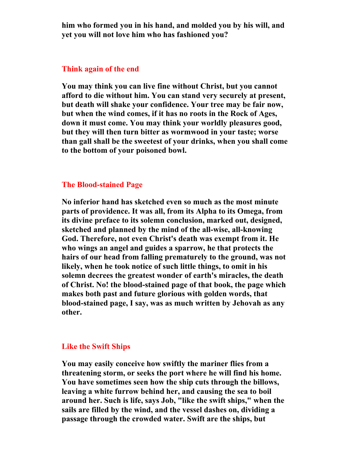**him who formed you in his hand, and molded you by his will, and yet you will not love him who has fashioned you?** 

### **Think again of the end**

**You may think you can live fine without Christ, but you cannot afford to die without him. You can stand very securely at present, but death will shake your confidence. Your tree may be fair now, but when the wind comes, if it has no roots in the Rock of Ages, down it must come. You may think your worldly pleasures good, but they will then turn bitter as wormwood in your taste; worse than gall shall be the sweetest of your drinks, when you shall come to the bottom of your poisoned bowl.** 

# **The Blood-stained Page**

**No inferior hand has sketched even so much as the most minute parts of providence. It was all, from its Alpha to its Omega, from its divine preface to its solemn conclusion, marked out, designed, sketched and planned by the mind of the all-wise, all-knowing God. Therefore, not even Christ's death was exempt from it. He who wings an angel and guides a sparrow, he that protects the hairs of our head from falling prematurely to the ground, was not likely, when he took notice of such little things, to omit in his solemn decrees the greatest wonder of earth's miracles, the death of Christ. No! the blood-stained page of that book, the page which makes both past and future glorious with golden words, that blood-stained page, I say, was as much written by Jehovah as any other.** 

## **Like the Swift Ships**

**You may easily conceive how swiftly the mariner flies from a threatening storm, or seeks the port where he will find his home. You have sometimes seen how the ship cuts through the billows, leaving a white furrow behind her, and causing the sea to boil around her. Such is life, says Job, "like the swift ships," when the sails are filled by the wind, and the vessel dashes on, dividing a passage through the crowded water. Swift are the ships, but**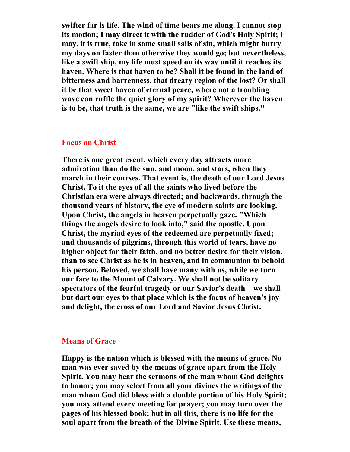**swifter far is life. The wind of time bears me along. I cannot stop its motion; I may direct it with the rudder of God's Holy Spirit; I may, it is true, take in some small sails of sin, which might hurry my days on faster than otherwise they would go; but nevertheless, like a swift ship, my life must speed on its way until it reaches its haven. Where is that haven to be? Shall it be found in the land of bitterness and barrenness, that dreary region of the lost? Or shall it be that sweet haven of eternal peace, where not a troubling wave can ruffle the quiet glory of my spirit? Wherever the haven is to be, that truth is the same, we are "like the swift ships."** 

# **Focus on Christ**

**There is one great event, which every day attracts more admiration than do the sun, and moon, and stars, when they march in their courses. That event is, the death of our Lord Jesus Christ. To it the eyes of all the saints who lived before the Christian era were always directed; and backwards, through the thousand years of history, the eye of modern saints are looking. Upon Christ, the angels in heaven perpetually gaze. "Which things the angels desire to look into," said the apostle. Upon Christ, the myriad eyes of the redeemed are perpetually fixed; and thousands of pilgrims, through this world of tears, have no higher object for their faith, and no better desire for their vision, than to see Christ as he is in heaven, and in communion to behold his person. Beloved, we shall have many with us, while we turn our face to the Mount of Calvary. We shall not be solitary spectators of the fearful tragedy or our Savior's death—we shall but dart our eyes to that place which is the focus of heaven's joy and delight, the cross of our Lord and Savior Jesus Christ.** 

#### **Means of Grace**

**Happy is the nation which is blessed with the means of grace. No man was ever saved by the means of grace apart from the Holy Spirit. You may hear the sermons of the man whom God delights to honor; you may select from all your divines the writings of the man whom God did bless with a double portion of his Holy Spirit; you may attend every meeting for prayer; you may turn over the pages of his blessed book; but in all this, there is no life for the soul apart from the breath of the Divine Spirit. Use these means,**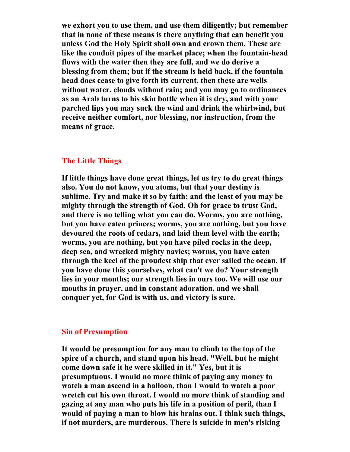**we exhort you to use them, and use them diligently; but remember that in none of these means is there anything that can benefit you unless God the Holy Spirit shall own and crown them. These are like the conduit pipes of the market place; when the fountain-head flows with the water then they are full, and we do derive a blessing from them; but if the stream is held back, if the fountain head does cease to give forth its current, then these are wells without water, clouds without rain; and you may go to ordinances as an Arab turns to his skin bottle when it is dry, and with your parched lips you may suck the wind and drink the whirlwind, but receive neither comfort, nor blessing, nor instruction, from the means of grace.** 

# **The Little Things**

**If little things have done great things, let us try to do great things also. You do not know, you atoms, but that your destiny is sublime. Try and make it so by faith; and the least of you may be mighty through the strength of God. Oh for grace to trust God, and there is no telling what you can do. Worms, you are nothing, but you have eaten princes; worms, you are nothing, but you have devoured the roots of cedars, and laid them level with the earth; worms, you are nothing, but you have piled rocks in the deep, deep sea, and wrecked mighty navies; worms, you have eaten through the keel of the proudest ship that ever sailed the ocean. If you have done this yourselves, what can't we do? Your strength lies in your mouths; our strength lies in ours too. We will use our mouths in prayer, and in constant adoration, and we shall conquer yet, for God is with us, and victory is sure.** 

# **Sin of Presumption**

**It would be presumption for any man to climb to the top of the spire of a church, and stand upon his head. "Well, but he might come down safe it he were skilled in it." Yes, but it is presumptuous. I would no more think of paying any money to watch a man ascend in a balloon, than I would to watch a poor wretch cut his own throat. I would no more think of standing and gazing at any man who puts his life in a position of peril, than I would of paying a man to blow his brains out. I think such things, if not murders, are murderous. There is suicide in men's risking**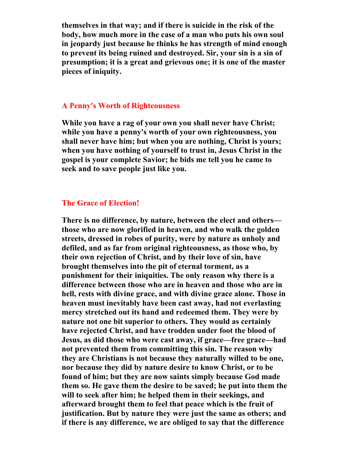**themselves in that way; and if there is suicide in the risk of the body, how much more in the case of a man who puts his own soul in jeopardy just because he thinks he has strength of mind enough to prevent its being ruined and destroyed. Sir, your sin is a sin of presumption; it is a great and grievous one; it is one of the master pieces of iniquity.** 

## **A Penny's Worth of Righteousness**

**While you have a rag of your own you shall never have Christ; while you have a penny's worth of your own righteousness, you shall never have him; but when you are nothing, Christ is yours; when you have nothing of yourself to trust in, Jesus Christ in the gospel is your complete Savior; he bids me tell you he came to seek and to save people just like you.** 

## **The Grace of Election!**

**There is no difference, by nature, between the elect and others those who are now glorified in heaven, and who walk the golden streets, dressed in robes of purity, were by nature as unholy and defiled, and as far from original righteousness, as those who, by their own rejection of Christ, and by their love of sin, have brought themselves into the pit of eternal torment, as a punishment for their iniquities. The only reason why there is a difference between those who are in heaven and those who are in hell, rests with divine grace, and with divine grace alone. Those in heaven must inevitably have been cast away, had not everlasting mercy stretched out its hand and redeemed them. They were by nature not one bit superior to others. They would as certainly have rejected Christ, and have trodden under foot the blood of Jesus, as did those who were cast away, if grace—free grace—had not prevented them from committing this sin. The reason why they are Christians is not because they naturally willed to be one, nor because they did by nature desire to know Christ, or to be found of him; but they are now saints simply because God made them so. He gave them the desire to be saved; he put into them the will to seek after him; he helped them in their seekings, and afterward brought them to feel that peace which is the fruit of justification. But by nature they were just the same as others; and if there is any difference, we are obliged to say that the difference**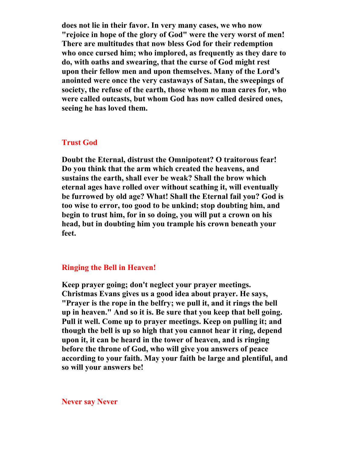**does not lie in their favor. In very many cases, we who now "rejoice in hope of the glory of God" were the very worst of men! There are multitudes that now bless God for their redemption who once cursed him; who implored, as frequently as they dare to do, with oaths and swearing, that the curse of God might rest upon their fellow men and upon themselves. Many of the Lord's anointed were once the very castaways of Satan, the sweepings of society, the refuse of the earth, those whom no man cares for, who were called outcasts, but whom God has now called desired ones, seeing he has loved them.** 

# **Trust God**

**Doubt the Eternal, distrust the Omnipotent? O traitorous fear! Do you think that the arm which created the heavens, and sustains the earth, shall ever be weak? Shall the brow which eternal ages have rolled over without scathing it, will eventually be furrowed by old age? What! Shall the Eternal fail you? God is too wise to error, too good to be unkind; stop doubting him, and begin to trust him, for in so doing, you will put a crown on his head, but in doubting him you trample his crown beneath your feet.** 

# **Ringing the Bell in Heaven!**

**Keep prayer going; don't neglect your prayer meetings. Christmas Evans gives us a good idea about prayer. He says, "Prayer is the rope in the belfry; we pull it, and it rings the bell up in heaven." And so it is. Be sure that you keep that bell going. Pull it well. Come up to prayer meetings. Keep on pulling it; and though the bell is up so high that you cannot hear it ring, depend upon it, it can be heard in the tower of heaven, and is ringing before the throne of God, who will give you answers of peace according to your faith. May your faith be large and plentiful, and so will your answers be!** 

**Never say Never**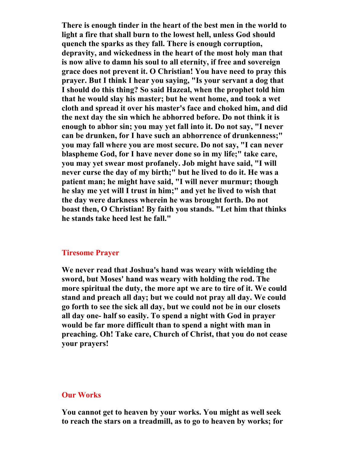**There is enough tinder in the heart of the best men in the world to light a fire that shall burn to the lowest hell, unless God should quench the sparks as they fall. There is enough corruption, depravity, and wickedness in the heart of the most holy man that is now alive to damn his soul to all eternity, if free and sovereign grace does not prevent it. O Christian! You have need to pray this prayer. But I think I hear you saying, "Is your servant a dog that I should do this thing? So said Hazeal, when the prophet told him that he would slay his master; but he went home, and took a wet cloth and spread it over his master's face and choked him, and did the next day the sin which he abhorred before. Do not think it is enough to abhor sin; you may yet fall into it. Do not say, "I never can be drunken, for I have such an abhorrence of drunkenness;" you may fall where you are most secure. Do not say, "I can never blaspheme God, for I have never done so in my life;" take care, you may yet swear most profanely. Job might have said, "I will never curse the day of my birth;" but he lived to do it. He was a patient man; he might have said, "I will never murmur; though he slay me yet will I trust in him;" and yet he lived to wish that the day were darkness wherein he was brought forth. Do not boast then, O Christian! By faith you stands. "Let him that thinks he stands take heed lest he fall."** 

## **Tiresome Prayer**

**We never read that Joshua's hand was weary with wielding the sword, but Moses' hand was weary with holding the rod. The more spiritual the duty, the more apt we are to tire of it. We could stand and preach all day; but we could not pray all day. We could go forth to see the sick all day, but we could not be in our closets all day one- half so easily. To spend a night with God in prayer would be far more difficult than to spend a night with man in preaching. Oh! Take care, Church of Christ, that you do not cease your prayers!** 

#### **Our Works**

**You cannot get to heaven by your works. You might as well seek to reach the stars on a treadmill, as to go to heaven by works; for**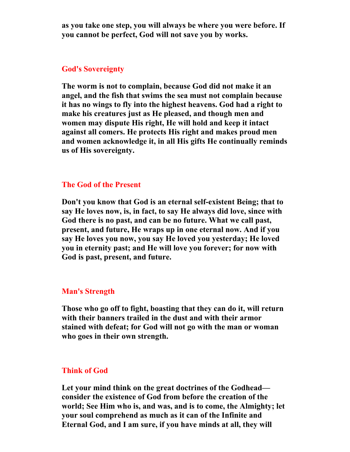**as you take one step, you will always be where you were before. If you cannot be perfect, God will not save you by works.** 

## **God's Sovereignty**

**The worm is not to complain, because God did not make it an angel, and the fish that swims the sea must not complain because it has no wings to fly into the highest heavens. God had a right to make his creatures just as He pleased, and though men and women may dispute His right, He will hold and keep it intact against all comers. He protects His right and makes proud men and women acknowledge it, in all His gifts He continually reminds us of His sovereignty.** 

# **The God of the Present**

**Don't you know that God is an eternal self-existent Being; that to say He loves now, is, in fact, to say He always did love, since with God there is no past, and can be no future. What we call past, present, and future, He wraps up in one eternal now. And if you say He loves you now, you say He loved you yesterday; He loved you in eternity past; and He will love you forever; for now with God is past, present, and future.** 

# **Man's Strength**

**Those who go off to fight, boasting that they can do it, will return with their banners trailed in the dust and with their armor stained with defeat; for God will not go with the man or woman who goes in their own strength.** 

# **Think of God**

**Let your mind think on the great doctrines of the Godhead consider the existence of God from before the creation of the world; See Him who is, and was, and is to come, the Almighty; let your soul comprehend as much as it can of the Infinite and Eternal God, and I am sure, if you have minds at all, they will**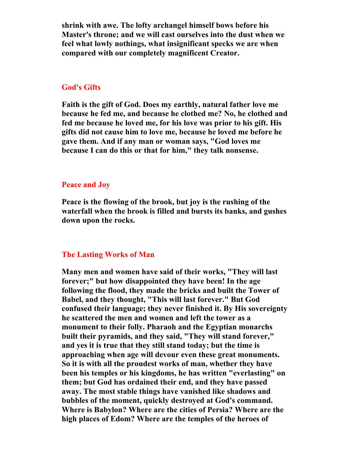**shrink with awe. The lofty archangel himself bows before his Master's throne; and we will cast ourselves into the dust when we feel what lowly nothings, what insignificant specks we are when compared with our completely magnificent Creator.** 

## **God's Gifts**

**Faith is the gift of God. Does my earthly, natural father love me because he fed me, and because he clothed me? No, he clothed and fed me because he loved me, for his love was prior to his gift. His gifts did not cause him to love me, because he loved me before he gave them. And if any man or woman says, "God loves me because I can do this or that for him," they talk nonsense.** 

#### **Peace and Joy**

**Peace is the flowing of the brook, but joy is the rushing of the waterfall when the brook is filled and bursts its banks, and gushes down upon the rocks.** 

## **The Lasting Works of Man**

**Many men and women have said of their works, "They will last forever;" but how disappointed they have been! In the age following the flood, they made the bricks and built the Tower of Babel, and they thought, "This will last forever." But God confused their language; they never finished it. By His sovereignty he scattered the men and women and left the tower as a monument to their folly. Pharaoh and the Egyptian monarchs built their pyramids, and they said, "They will stand forever," and yes it is true that they still stand today; but the time is approaching when age will devour even these great monuments. So it is with all the proudest works of man, whether they have been his temples or his kingdoms, he has written "everlasting" on them; but God has ordained their end, and they have passed away. The most stable things have vanished like shadows and bubbles of the moment, quickly destroyed at God's command. Where is Babylon? Where are the cities of Persia? Where are the high places of Edom? Where are the temples of the heroes of**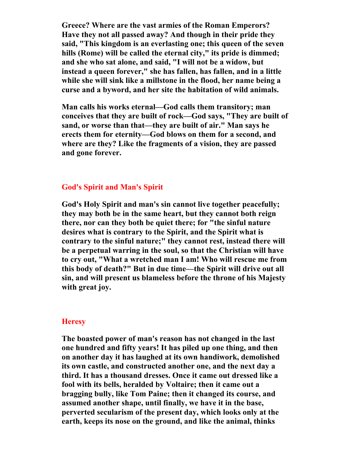**Greece? Where are the vast armies of the Roman Emperors? Have they not all passed away? And though in their pride they said, "This kingdom is an everlasting one; this queen of the seven hills (Rome) will be called the eternal city," its pride is dimmed; and she who sat alone, and said, "I will not be a widow, but instead a queen forever," she has fallen, has fallen, and in a little while she will sink like a millstone in the flood, her name being a curse and a byword, and her site the habitation of wild animals.** 

**Man calls his works eternal—God calls them transitory; man conceives that they are built of rock—God says, "They are built of sand, or worse than that—they are built of air." Man says he erects them for eternity—God blows on them for a second, and where are they? Like the fragments of a vision, they are passed and gone forever.** 

# **God's Spirit and Man's Spirit**

**God's Holy Spirit and man's sin cannot live together peacefully; they may both be in the same heart, but they cannot both reign there, nor can they both be quiet there; for "the sinful nature desires what is contrary to the Spirit, and the Spirit what is contrary to the sinful nature;" they cannot rest, instead there will be a perpetual warring in the soul, so that the Christian will have to cry out, "What a wretched man I am! Who will rescue me from this body of death?" But in due time—the Spirit will drive out all sin, and will present us blameless before the throne of his Majesty with great joy.** 

## **Heresy**

**The boasted power of man's reason has not changed in the last one hundred and fifty years! It has piled up one thing, and then on another day it has laughed at its own handiwork, demolished its own castle, and constructed another one, and the next day a third. It has a thousand dresses. Once it came out dressed like a fool with its bells, heralded by Voltaire; then it came out a bragging bully, like Tom Paine; then it changed its course, and assumed another shape, until finally, we have it in the base, perverted secularism of the present day, which looks only at the earth, keeps its nose on the ground, and like the animal, thinks**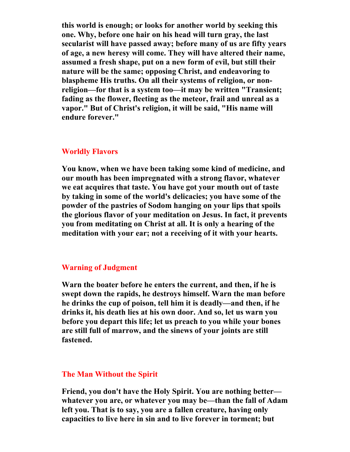**this world is enough; or looks for another world by seeking this one. Why, before one hair on his head will turn gray, the last secularist will have passed away; before many of us are fifty years of age, a new heresy will come. They will have altered their name, assumed a fresh shape, put on a new form of evil, but still their nature will be the same; opposing Christ, and endeavoring to blaspheme His truths. On all their systems of religion, or nonreligion—for that is a system too—it may be written "Transient; fading as the flower, fleeting as the meteor, frail and unreal as a vapor." But of Christ's religion, it will be said, "His name will endure forever."** 

#### **Worldly Flavors**

**You know, when we have been taking some kind of medicine, and our mouth has been impregnated with a strong flavor, whatever we eat acquires that taste. You have got your mouth out of taste by taking in some of the world's delicacies; you have some of the powder of the pastries of Sodom hanging on your lips that spoils the glorious flavor of your meditation on Jesus. In fact, it prevents you from meditating on Christ at all. It is only a hearing of the meditation with your ear; not a receiving of it with your hearts.** 

## **Warning of Judgment**

**Warn the boater before he enters the current, and then, if he is swept down the rapids, he destroys himself. Warn the man before he drinks the cup of poison, tell him it is deadly—and then, if he drinks it, his death lies at his own door. And so, let us warn you before you depart this life; let us preach to you while your bones are still full of marrow, and the sinews of your joints are still fastened.** 

## **The Man Without the Spirit**

**Friend, you don't have the Holy Spirit. You are nothing better whatever you are, or whatever you may be—than the fall of Adam left you. That is to say, you are a fallen creature, having only capacities to live here in sin and to live forever in torment; but**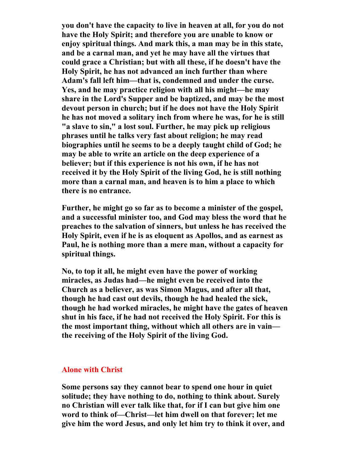**you don't have the capacity to live in heaven at all, for you do not have the Holy Spirit; and therefore you are unable to know or enjoy spiritual things. And mark this, a man may be in this state, and be a carnal man, and yet he may have all the virtues that could grace a Christian; but with all these, if he doesn't have the Holy Spirit, he has not advanced an inch further than where Adam's fall left him—that is, condemned and under the curse. Yes, and he may practice religion with all his might—he may share in the Lord's Supper and be baptized, and may be the most devout person in church; but if he does not have the Holy Spirit he has not moved a solitary inch from where he was, for he is still "a slave to sin," a lost soul. Further, he may pick up religious phrases until he talks very fast about religion; he may read biographies until he seems to be a deeply taught child of God; he may be able to write an article on the deep experience of a believer; but if this experience is not his own, if he has not received it by the Holy Spirit of the living God, he is still nothing more than a carnal man, and heaven is to him a place to which there is no entrance.** 

**Further, he might go so far as to become a minister of the gospel, and a successful minister too, and God may bless the word that he preaches to the salvation of sinners, but unless he has received the Holy Spirit, even if he is as eloquent as Apollos, and as earnest as Paul, he is nothing more than a mere man, without a capacity for spiritual things.** 

**No, to top it all, he might even have the power of working miracles, as Judas had—he might even be received into the Church as a believer, as was Simon Magus, and after all that, though he had cast out devils, though he had healed the sick, though he had worked miracles, he might have the gates of heaven shut in his face, if he had not received the Holy Spirit. For this is the most important thing, without which all others are in vain the receiving of the Holy Spirit of the living God.** 

## **Alone with Christ**

**Some persons say they cannot bear to spend one hour in quiet solitude; they have nothing to do, nothing to think about. Surely no Christian will ever talk like that, for if I can but give him one word to think of—Christ—let him dwell on that forever; let me give him the word Jesus, and only let him try to think it over, and**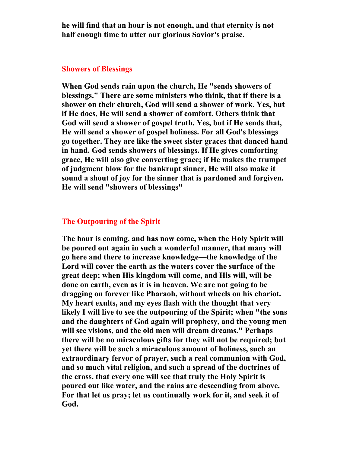**he will find that an hour is not enough, and that eternity is not half enough time to utter our glorious Savior's praise.** 

#### **Showers of Blessings**

**When God sends rain upon the church, He "sends showers of blessings." There are some ministers who think, that if there is a shower on their church, God will send a shower of work. Yes, but if He does, He will send a shower of comfort. Others think that God will send a shower of gospel truth. Yes, but if He sends that, He will send a shower of gospel holiness. For all God's blessings go together. They are like the sweet sister graces that danced hand in hand. God sends showers of blessings. If He gives comforting grace, He will also give converting grace; if He makes the trumpet of judgment blow for the bankrupt sinner, He will also make it sound a shout of joy for the sinner that is pardoned and forgiven. He will send "showers of blessings"** 

### **The Outpouring of the Spirit**

**The hour is coming, and has now come, when the Holy Spirit will be poured out again in such a wonderful manner, that many will go here and there to increase knowledge—the knowledge of the Lord will cover the earth as the waters cover the surface of the great deep; when His kingdom will come, and His will, will be done on earth, even as it is in heaven. We are not going to be dragging on forever like Pharaoh, without wheels on his chariot. My heart exults, and my eyes flash with the thought that very likely I will live to see the outpouring of the Spirit; when "the sons and the daughters of God again will prophesy, and the young men will see visions, and the old men will dream dreams." Perhaps there will be no miraculous gifts for they will not be required; but yet there will be such a miraculous amount of holiness, such an extraordinary fervor of prayer, such a real communion with God, and so much vital religion, and such a spread of the doctrines of the cross, that every one will see that truly the Holy Spirit is poured out like water, and the rains are descending from above. For that let us pray; let us continually work for it, and seek it of God.**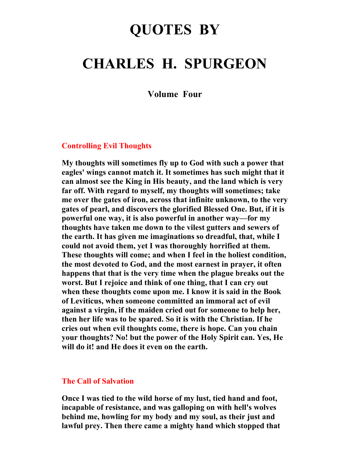# **QUOTES BY**

# **CHARLES H. SPURGEON**

**Volume Four** 

# **Controlling Evil Thoughts**

**My thoughts will sometimes fly up to God with such a power that eagles' wings cannot match it. It sometimes has such might that it can almost see the King in His beauty, and the land which is very far off. With regard to myself, my thoughts will sometimes; take me over the gates of iron, across that infinite unknown, to the very gates of pearl, and discovers the glorified Blessed One. But, if it is powerful one way, it is also powerful in another way—for my thoughts have taken me down to the vilest gutters and sewers of the earth. It has given me imaginations so dreadful, that, while I could not avoid them, yet I was thoroughly horrified at them. These thoughts will come; and when I feel in the holiest condition, the most devoted to God, and the most earnest in prayer, it often happens that that is the very time when the plague breaks out the worst. But I rejoice and think of one thing, that I can cry out when these thoughts come upon me. I know it is said in the Book of Leviticus, when someone committed an immoral act of evil against a virgin, if the maiden cried out for someone to help her, then her life was to be spared. So it is with the Christian. If he cries out when evil thoughts come, there is hope. Can you chain your thoughts? No! but the power of the Holy Spirit can. Yes, He will do it! and He does it even on the earth.** 

## **The Call of Salvation**

**Once I was tied to the wild horse of my lust, tied hand and foot, incapable of resistance, and was galloping on with hell's wolves behind me, howling for my body and my soul, as their just and lawful prey. Then there came a mighty hand which stopped that**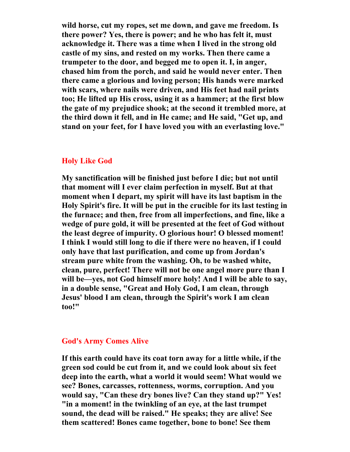**wild horse, cut my ropes, set me down, and gave me freedom. Is there power? Yes, there is power; and he who has felt it, must acknowledge it. There was a time when I lived in the strong old castle of my sins, and rested on my works. Then there came a trumpeter to the door, and begged me to open it. I, in anger, chased him from the porch, and said he would never enter. Then there came a glorious and loving person; His hands were marked with scars, where nails were driven, and His feet had nail prints too; He lifted up His cross, using it as a hammer; at the first blow the gate of my prejudice shook; at the second it trembled more, at the third down it fell, and in He came; and He said, "Get up, and stand on your feet, for I have loved you with an everlasting love."** 

## **Holy Like God**

**My sanctification will be finished just before I die; but not until that moment will I ever claim perfection in myself. But at that moment when I depart, my spirit will have its last baptism in the Holy Spirit's fire. It will be put in the crucible for its last testing in the furnace; and then, free from all imperfections, and fine, like a wedge of pure gold, it will be presented at the feet of God without the least degree of impurity. O glorious hour! O blessed moment! I think I would still long to die if there were no heaven, if I could only have that last purification, and come up from Jordan's stream pure white from the washing. Oh, to be washed white, clean, pure, perfect! There will not be one angel more pure than I will be—yes, not God himself more holy! And I will be able to say, in a double sense, "Great and Holy God, I am clean, through Jesus' blood I am clean, through the Spirit's work I am clean too!"** 

## **God's Army Comes Alive**

**If this earth could have its coat torn away for a little while, if the green sod could be cut from it, and we could look about six feet deep into the earth, what a world it would seem! What would we see? Bones, carcasses, rottenness, worms, corruption. And you would say, "Can these dry bones live? Can they stand up?" Yes! "in a moment! in the twinkling of an eye, at the last trumpet sound, the dead will be raised." He speaks; they are alive! See them scattered! Bones came together, bone to bone! See them**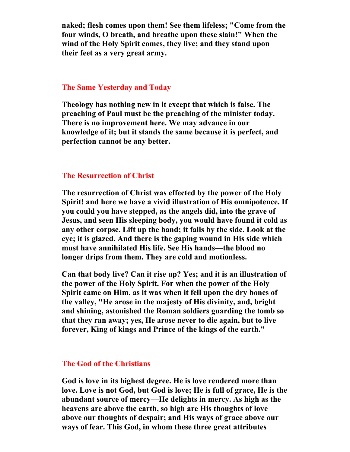**naked; flesh comes upon them! See them lifeless; "Come from the four winds, O breath, and breathe upon these slain!" When the wind of the Holy Spirit comes, they live; and they stand upon their feet as a very great army.** 

## **The Same Yesterday and Today**

**Theology has nothing new in it except that which is false. The preaching of Paul must be the preaching of the minister today. There is no improvement here. We may advance in our knowledge of it; but it stands the same because it is perfect, and perfection cannot be any better.** 

### **The Resurrection of Christ**

**The resurrection of Christ was effected by the power of the Holy Spirit! and here we have a vivid illustration of His omnipotence. If you could you have stepped, as the angels did, into the grave of Jesus, and seen His sleeping body, you would have found it cold as any other corpse. Lift up the hand; it falls by the side. Look at the eye; it is glazed. And there is the gaping wound in His side which must have annihilated His life. See His hands—the blood no longer drips from them. They are cold and motionless.** 

**Can that body live? Can it rise up? Yes; and it is an illustration of the power of the Holy Spirit. For when the power of the Holy Spirit came on Him, as it was when it fell upon the dry bones of the valley, "He arose in the majesty of His divinity, and, bright and shining, astonished the Roman soldiers guarding the tomb so that they ran away; yes, He arose never to die again, but to live forever, King of kings and Prince of the kings of the earth."** 

### **The God of the Christians**

**God is love in its highest degree. He is love rendered more than love. Love is not God, but God is love; He is full of grace, He is the abundant source of mercy—He delights in mercy. As high as the heavens are above the earth, so high are His thoughts of love above our thoughts of despair; and His ways of grace above our ways of fear. This God, in whom these three great attributes**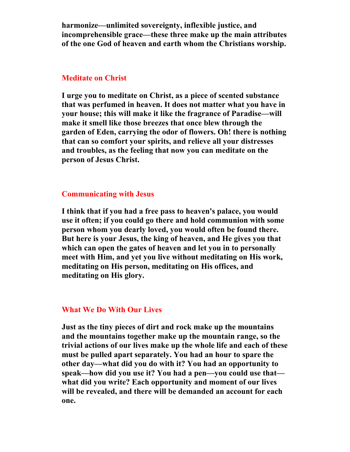**harmonize—unlimited sovereignty, inflexible justice, and incomprehensible grace—these three make up the main attributes of the one God of heaven and earth whom the Christians worship.** 

## **Meditate on Christ**

**I urge you to meditate on Christ, as a piece of scented substance that was perfumed in heaven. It does not matter what you have in your house; this will make it like the fragrance of Paradise—will make it smell like those breezes that once blew through the garden of Eden, carrying the odor of flowers. Oh! there is nothing that can so comfort your spirits, and relieve all your distresses and troubles, as the feeling that now you can meditate on the person of Jesus Christ.** 

# **Communicating with Jesus**

**I think that if you had a free pass to heaven's palace, you would use it often; if you could go there and hold communion with some person whom you dearly loved, you would often be found there. But here is your Jesus, the king of heaven, and He gives you that which can open the gates of heaven and let you in to personally meet with Him, and yet you live without meditating on His work, meditating on His person, meditating on His offices, and meditating on His glory.** 

## **What We Do With Our Lives**

**Just as the tiny pieces of dirt and rock make up the mountains and the mountains together make up the mountain range, so the trivial actions of our lives make up the whole life and each of these must be pulled apart separately. You had an hour to spare the other day—what did you do with it? You had an opportunity to speak—how did you use it? You had a pen—you could use that what did you write? Each opportunity and moment of our lives will be revealed, and there will be demanded an account for each one.**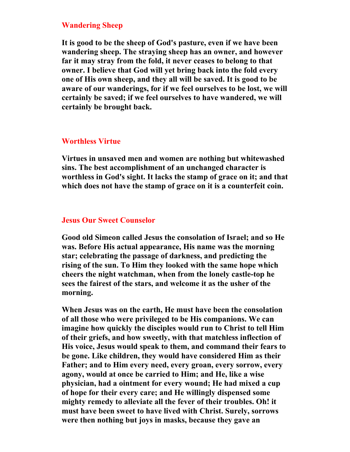# **Wandering Sheep**

**It is good to be the sheep of God's pasture, even if we have been wandering sheep. The straying sheep has an owner, and however far it may stray from the fold, it never ceases to belong to that owner. I believe that God will yet bring back into the fold every one of His own sheep, and they all will be saved. It is good to be aware of our wanderings, for if we feel ourselves to be lost, we will certainly be saved; if we feel ourselves to have wandered, we will certainly be brought back.** 

# **Worthless Virtue**

**Virtues in unsaved men and women are nothing but whitewashed sins. The best accomplishment of an unchanged character is worthless in God's sight. It lacks the stamp of grace on it; and that which does not have the stamp of grace on it is a counterfeit coin.** 

## **Jesus Our Sweet Counselor**

**Good old Simeon called Jesus the consolation of Israel; and so He was. Before His actual appearance, His name was the morning star; celebrating the passage of darkness, and predicting the rising of the sun. To Him they looked with the same hope which cheers the night watchman, when from the lonely castle-top he sees the fairest of the stars, and welcome it as the usher of the morning.** 

**When Jesus was on the earth, He must have been the consolation of all those who were privileged to be His companions. We can imagine how quickly the disciples would run to Christ to tell Him of their griefs, and how sweetly, with that matchless inflection of His voice, Jesus would speak to them, and command their fears to be gone. Like children, they would have considered Him as their Father; and to Him every need, every groan, every sorrow, every agony, would at once be carried to Him; and He, like a wise physician, had a ointment for every wound; He had mixed a cup of hope for their every care; and He willingly dispensed some mighty remedy to alleviate all the fever of their troubles. Oh! it must have been sweet to have lived with Christ. Surely, sorrows were then nothing but joys in masks, because they gave an**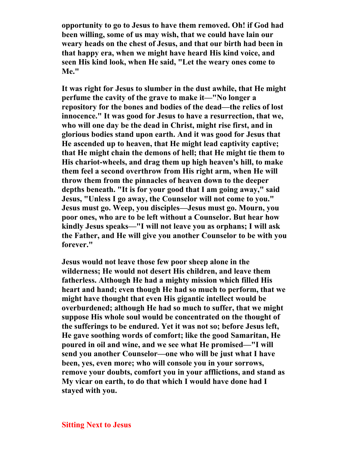**opportunity to go to Jesus to have them removed. Oh! if God had been willing, some of us may wish, that we could have lain our weary heads on the chest of Jesus, and that our birth had been in that happy era, when we might have heard His kind voice, and seen His kind look, when He said, "Let the weary ones come to Me."** 

**It was right for Jesus to slumber in the dust awhile, that He might perfume the cavity of the grave to make it—"No longer a repository for the bones and bodies of the dead—the relics of lost innocence." It was good for Jesus to have a resurrection, that we, who will one day be the dead in Christ, might rise first, and in glorious bodies stand upon earth. And it was good for Jesus that He ascended up to heaven, that He might lead captivity captive; that He might chain the demons of hell; that He might tie them to His chariot-wheels, and drag them up high heaven's hill, to make them feel a second overthrow from His right arm, when He will throw them from the pinnacles of heaven down to the deeper depths beneath. "It is for your good that I am going away," said Jesus, "Unless I go away, the Counselor will not come to you." Jesus must go. Weep, you disciples—Jesus must go. Mourn, you poor ones, who are to be left without a Counselor. But hear how kindly Jesus speaks—"I will not leave you as orphans; I will ask the Father, and He will give you another Counselor to be with you forever."** 

**Jesus would not leave those few poor sheep alone in the wilderness; He would not desert His children, and leave them fatherless. Although He had a mighty mission which filled His heart and hand; even though He had so much to perform, that we might have thought that even His gigantic intellect would be overburdened; although He had so much to suffer, that we might suppose His whole soul would be concentrated on the thought of the sufferings to be endured. Yet it was not so; before Jesus left, He gave soothing words of comfort; like the good Samaritan, He poured in oil and wine, and we see what He promised—"I will send you another Counselor—one who will be just what I have been, yes, even more; who will console you in your sorrows, remove your doubts, comfort you in your afflictions, and stand as My vicar on earth, to do that which I would have done had I stayed with you.**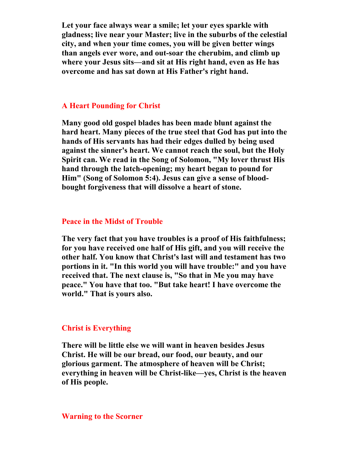**Let your face always wear a smile; let your eyes sparkle with gladness; live near your Master; live in the suburbs of the celestial city, and when your time comes, you will be given better wings than angels ever wore, and out-soar the cherubim, and climb up where your Jesus sits—and sit at His right hand, even as He has overcome and has sat down at His Father's right hand.** 

# **A Heart Pounding for Christ**

**Many good old gospel blades has been made blunt against the hard heart. Many pieces of the true steel that God has put into the hands of His servants has had their edges dulled by being used against the sinner's heart. We cannot reach the soul, but the Holy Spirit can. We read in the Song of Solomon, "My lover thrust His hand through the latch-opening; my heart began to pound for Him" (Song of Solomon 5:4). Jesus can give a sense of bloodbought forgiveness that will dissolve a heart of stone.** 

#### **Peace in the Midst of Trouble**

**The very fact that you have troubles is a proof of His faithfulness; for you have received one half of His gift, and you will receive the other half. You know that Christ's last will and testament has two portions in it. "In this world you will have trouble:" and you have received that. The next clause is, "So that in Me you may have peace." You have that too. "But take heart! I have overcome the world." That is yours also.** 

# **Christ is Everything**

**There will be little else we will want in heaven besides Jesus Christ. He will be our bread, our food, our beauty, and our glorious garment. The atmosphere of heaven will be Christ; everything in heaven will be Christ-like—yes, Christ is the heaven of His people.** 

#### **Warning to the Scorner**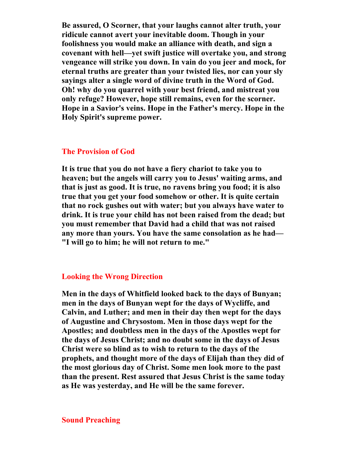**Be assured, O Scorner, that your laughs cannot alter truth, your ridicule cannot avert your inevitable doom. Though in your foolishness you would make an alliance with death, and sign a covenant with hell—yet swift justice will overtake you, and strong vengeance will strike you down. In vain do you jeer and mock, for eternal truths are greater than your twisted lies, nor can your sly sayings alter a single word of divine truth in the Word of God. Oh! why do you quarrel with your best friend, and mistreat you only refuge? However, hope still remains, even for the scorner. Hope in a Savior's veins. Hope in the Father's mercy. Hope in the Holy Spirit's supreme power.** 

# **The Provision of God**

**It is true that you do not have a fiery chariot to take you to heaven; but the angels will carry you to Jesus' waiting arms, and that is just as good. It is true, no ravens bring you food; it is also true that you get your food somehow or other. It is quite certain that no rock gushes out with water; but you always have water to drink. It is true your child has not been raised from the dead; but you must remember that David had a child that was not raised any more than yours. You have the same consolation as he had— "I will go to him; he will not return to me."** 

## **Looking the Wrong Direction**

**Men in the days of Whitfield looked back to the days of Bunyan; men in the days of Bunyan wept for the days of Wycliffe, and Calvin, and Luther; and men in their day then wept for the days of Augustine and Chrysostom. Men in those days wept for the Apostles; and doubtless men in the days of the Apostles wept for the days of Jesus Christ; and no doubt some in the days of Jesus Christ were so blind as to wish to return to the days of the prophets, and thought more of the days of Elijah than they did of the most glorious day of Christ. Some men look more to the past than the present. Rest assured that Jesus Christ is the same today as He was yesterday, and He will be the same forever.**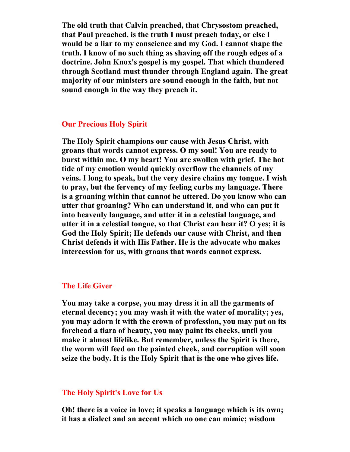**The old truth that Calvin preached, that Chrysostom preached, that Paul preached, is the truth I must preach today, or else I would be a liar to my conscience and my God. I cannot shape the truth. I know of no such thing as shaving off the rough edges of a doctrine. John Knox's gospel is my gospel. That which thundered through Scotland must thunder through England again. The great majority of our ministers are sound enough in the faith, but not sound enough in the way they preach it.** 

# **Our Precious Holy Spirit**

**The Holy Spirit champions our cause with Jesus Christ, with groans that words cannot express. O my soul! You are ready to burst within me. O my heart! You are swollen with grief. The hot tide of my emotion would quickly overflow the channels of my veins. I long to speak, but the very desire chains my tongue. I wish to pray, but the fervency of my feeling curbs my language. There is a groaning within that cannot be uttered. Do you know who can utter that groaning? Who can understand it, and who can put it into heavenly language, and utter it in a celestial language, and utter it in a celestial tongue, so that Christ can hear it? O yes; it is God the Holy Spirit; He defends our cause with Christ, and then Christ defends it with His Father. He is the advocate who makes intercession for us, with groans that words cannot express.** 

# **The Life Giver**

**You may take a corpse, you may dress it in all the garments of eternal decency; you may wash it with the water of morality; yes, you may adorn it with the crown of profession, you may put on its forehead a tiara of beauty, you may paint its cheeks, until you make it almost lifelike. But remember, unless the Spirit is there, the worm will feed on the painted cheek, and corruption will soon seize the body. It is the Holy Spirit that is the one who gives life.** 

### **The Holy Spirit's Love for Us**

**Oh! there is a voice in love; it speaks a language which is its own; it has a dialect and an accent which no one can mimic; wisdom**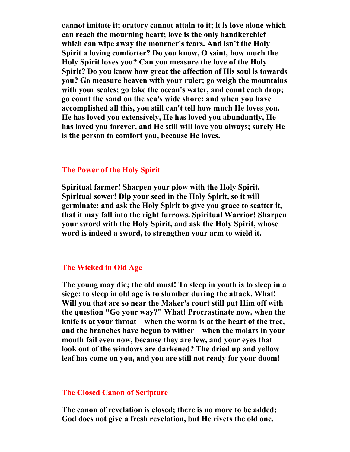**cannot imitate it; oratory cannot attain to it; it is love alone which can reach the mourning heart; love is the only handkerchief which can wipe away the mourner's tears. And isn't the Holy Spirit a loving comforter? Do you know, O saint, how much the Holy Spirit loves you? Can you measure the love of the Holy Spirit? Do you know how great the affection of His soul is towards you? Go measure heaven with your ruler; go weigh the mountains with your scales; go take the ocean's water, and count each drop; go count the sand on the sea's wide shore; and when you have accomplished all this, you still can't tell how much He loves you. He has loved you extensively, He has loved you abundantly, He has loved you forever, and He still will love you always; surely He is the person to comfort you, because He loves.** 

# **The Power of the Holy Spirit**

**Spiritual farmer! Sharpen your plow with the Holy Spirit. Spiritual sower! Dip your seed in the Holy Spirit, so it will germinate; and ask the Holy Spirit to give you grace to scatter it, that it may fall into the right furrows. Spiritual Warrior! Sharpen your sword with the Holy Spirit, and ask the Holy Spirit, whose word is indeed a sword, to strengthen your arm to wield it.** 

# **The Wicked in Old Age**

**The young may die; the old must! To sleep in youth is to sleep in a siege; to sleep in old age is to slumber during the attack. What! Will you that are so near the Maker's court still put Him off with the question "Go your way?" What! Procrastinate now, when the knife is at your throat—when the worm is at the heart of the tree, and the branches have begun to wither—when the molars in your mouth fail even now, because they are few, and your eyes that look out of the windows are darkened? The dried up and yellow leaf has come on you, and you are still not ready for your doom!** 

### **The Closed Canon of Scripture**

**The canon of revelation is closed; there is no more to be added; God does not give a fresh revelation, but He rivets the old one.**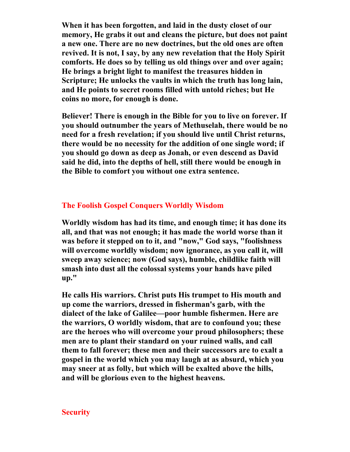**When it has been forgotten, and laid in the dusty closet of our memory, He grabs it out and cleans the picture, but does not paint a new one. There are no new doctrines, but the old ones are often revived. It is not, I say, by any new revelation that the Holy Spirit comforts. He does so by telling us old things over and over again; He brings a bright light to manifest the treasures hidden in Scripture; He unlocks the vaults in which the truth has long lain, and He points to secret rooms filled with untold riches; but He coins no more, for enough is done.** 

**Believer! There is enough in the Bible for you to live on forever. If you should outnumber the years of Methuselah, there would be no need for a fresh revelation; if you should live until Christ returns, there would be no necessity for the addition of one single word; if you should go down as deep as Jonah, or even descend as David said he did, into the depths of hell, still there would be enough in the Bible to comfort you without one extra sentence.** 

# **The Foolish Gospel Conquers Worldly Wisdom**

**Worldly wisdom has had its time, and enough time; it has done its all, and that was not enough; it has made the world worse than it was before it stepped on to it, and "now," God says, "foolishness will overcome worldly wisdom; now ignorance, as you call it, will sweep away science; now (God says), humble, childlike faith will smash into dust all the colossal systems your hands have piled up."** 

**He calls His warriors. Christ puts His trumpet to His mouth and up come the warriors, dressed in fisherman's garb, with the dialect of the lake of Galilee—poor humble fishermen. Here are the warriors, O worldly wisdom, that are to confound you; these are the heroes who will overcome your proud philosophers; these men are to plant their standard on your ruined walls, and call them to fall forever; these men and their successors are to exalt a gospel in the world which you may laugh at as absurd, which you may sneer at as folly, but which will be exalted above the hills, and will be glorious even to the highest heavens.** 

# **Security**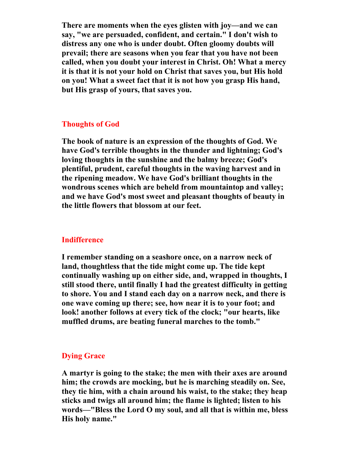**There are moments when the eyes glisten with joy—and we can say, "we are persuaded, confident, and certain." I don't wish to distress any one who is under doubt. Often gloomy doubts will prevail; there are seasons when you fear that you have not been called, when you doubt your interest in Christ. Oh! What a mercy it is that it is not your hold on Christ that saves you, but His hold on you! What a sweet fact that it is not how you grasp His hand, but His grasp of yours, that saves you.** 

### **Thoughts of God**

**The book of nature is an expression of the thoughts of God. We have God's terrible thoughts in the thunder and lightning; God's loving thoughts in the sunshine and the balmy breeze; God's plentiful, prudent, careful thoughts in the waving harvest and in the ripening meadow. We have God's brilliant thoughts in the wondrous scenes which are beheld from mountaintop and valley; and we have God's most sweet and pleasant thoughts of beauty in the little flowers that blossom at our feet.** 

## **Indifference**

**I remember standing on a seashore once, on a narrow neck of land, thoughtless that the tide might come up. The tide kept continually washing up on either side, and, wrapped in thoughts, I still stood there, until finally I had the greatest difficulty in getting to shore. You and I stand each day on a narrow neck, and there is one wave coming up there; see, how near it is to your foot; and look! another follows at every tick of the clock; "our hearts, like muffled drums, are beating funeral marches to the tomb."** 

# **Dying Grace**

**A martyr is going to the stake; the men with their axes are around him; the crowds are mocking, but he is marching steadily on. See, they tie him, with a chain around his waist, to the stake; they heap sticks and twigs all around him; the flame is lighted; listen to his words—"Bless the Lord O my soul, and all that is within me, bless His holy name."**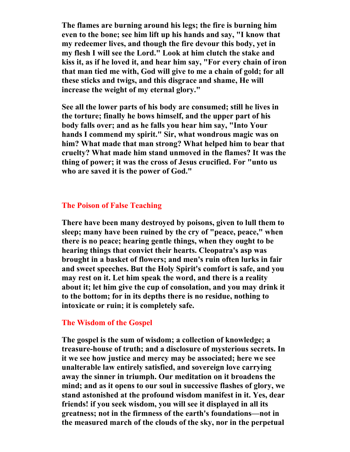**The flames are burning around his legs; the fire is burning him even to the bone; see him lift up his hands and say, "I know that my redeemer lives, and though the fire devour this body, yet in my flesh I will see the Lord." Look at him clutch the stake and kiss it, as if he loved it, and hear him say, "For every chain of iron that man tied me with, God will give to me a chain of gold; for all these sticks and twigs, and this disgrace and shame, He will increase the weight of my eternal glory."** 

**See all the lower parts of his body are consumed; still he lives in the torture; finally he bows himself, and the upper part of his body falls over; and as he falls you hear him say, "Into Your hands I commend my spirit." Sir, what wondrous magic was on him? What made that man strong? What helped him to bear that cruelty? What made him stand unmoved in the flames? It was the thing of power; it was the cross of Jesus crucified. For "unto us who are saved it is the power of God."** 

## **The Poison of False Teaching**

**There have been many destroyed by poisons, given to lull them to sleep; many have been ruined by the cry of "peace, peace," when there is no peace; hearing gentle things, when they ought to be hearing things that convict their hearts. Cleopatra's asp was brought in a basket of flowers; and men's ruin often lurks in fair and sweet speeches. But the Holy Spirit's comfort is safe, and you may rest on it. Let him speak the word, and there is a reality about it; let him give the cup of consolation, and you may drink it to the bottom; for in its depths there is no residue, nothing to intoxicate or ruin; it is completely safe.** 

# **The Wisdom of the Gospel**

**The gospel is the sum of wisdom; a collection of knowledge; a treasure-house of truth; and a disclosure of mysterious secrets. In it we see how justice and mercy may be associated; here we see unalterable law entirely satisfied, and sovereign love carrying away the sinner in triumph. Our meditation on it broadens the mind; and as it opens to our soul in successive flashes of glory, we stand astonished at the profound wisdom manifest in it. Yes, dear friends! if you seek wisdom, you will see it displayed in all its greatness; not in the firmness of the earth's foundations—not in the measured march of the clouds of the sky, nor in the perpetual**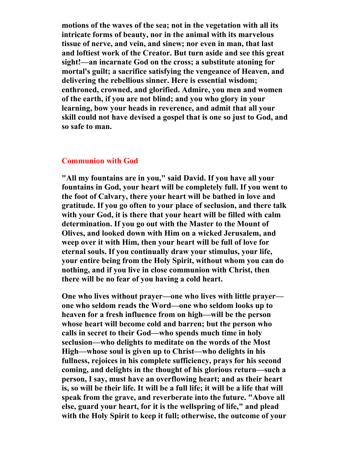**motions of the waves of the sea; not in the vegetation with all its intricate forms of beauty, nor in the animal with its marvelous tissue of nerve, and vein, and sinew; nor even in man, that last and loftiest work of the Creator. But turn aside and see this great sight!—an incarnate God on the cross; a substitute atoning for mortal's guilt; a sacrifice satisfying the vengeance of Heaven, and delivering the rebellious sinner. Here is essential wisdom; enthroned, crowned, and glorified. Admire, you men and women of the earth, if you are not blind; and you who glory in your learning, bow your heads in reverence, and admit that all your skill could not have devised a gospel that is one so just to God, and so safe to man.** 

# **Communion with God**

**"All my fountains are in you," said David. If you have all your fountains in God, your heart will be completely full. If you went to the foot of Calvary, there your heart will be bathed in love and gratitude. If you go often to your place of seclusion, and there talk with your God, it is there that your heart will be filled with calm determination. If you go out with the Master to the Mount of Olives, and looked down with Him on a wicked Jerusalem, and weep over it with Him, then your heart will be full of love for eternal souls. If you continually draw your stimulus, your life, your entire being from the Holy Spirit, without whom you can do nothing, and if you live in close communion with Christ, then there will be no fear of you having a cold heart.** 

**One who lives without prayer—one who lives with little prayer one who seldom reads the Word—one who seldom looks up to heaven for a fresh influence from on high—will be the person whose heart will become cold and barren; but the person who calls in secret to their God—who spends much time in holy seclusion—who delights to meditate on the words of the Most High—whose soul is given up to Christ—who delights in his fullness, rejoices in his complete sufficiency, prays for his second coming, and delights in the thought of his glorious return—such a person, I say, must have an overflowing heart; and as their heart is, so will be their life. It will be a full life; it will be a life that will speak from the grave, and reverberate into the future. "Above all else, guard your heart, for it is the wellspring of life," and plead with the Holy Spirit to keep it full; otherwise, the outcome of your**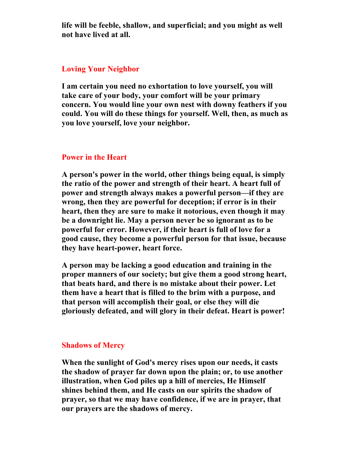**life will be feeble, shallow, and superficial; and you might as well not have lived at all.** 

# **Loving Your Neighbor**

**I am certain you need no exhortation to love yourself, you will take care of your body, your comfort will be your primary concern. You would line your own nest with downy feathers if you could. You will do these things for yourself. Well, then, as much as you love yourself, love your neighbor.** 

# **Power in the Heart**

**A person's power in the world, other things being equal, is simply the ratio of the power and strength of their heart. A heart full of power and strength always makes a powerful person—if they are wrong, then they are powerful for deception; if error is in their heart, then they are sure to make it notorious, even though it may be a downright lie. May a person never be so ignorant as to be powerful for error. However, if their heart is full of love for a good cause, they become a powerful person for that issue, because they have heart-power, heart force.** 

**A person may be lacking a good education and training in the proper manners of our society; but give them a good strong heart, that beats hard, and there is no mistake about their power. Let them have a heart that is filled to the brim with a purpose, and that person will accomplish their goal, or else they will die gloriously defeated, and will glory in their defeat. Heart is power!** 

# **Shadows of Mercy**

**When the sunlight of God's mercy rises upon our needs, it casts the shadow of prayer far down upon the plain; or, to use another illustration, when God piles up a hill of mercies, He Himself shines behind them, and He casts on our spirits the shadow of prayer, so that we may have confidence, if we are in prayer, that our prayers are the shadows of mercy.**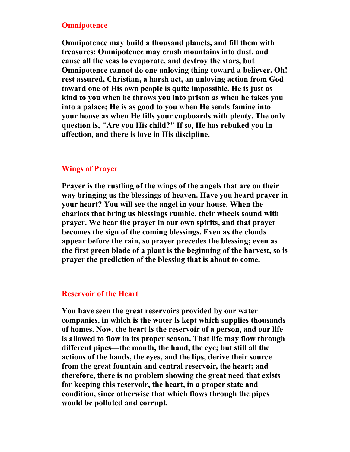# **Omnipotence**

**Omnipotence may build a thousand planets, and fill them with treasures; Omnipotence may crush mountains into dust, and cause all the seas to evaporate, and destroy the stars, but Omnipotence cannot do one unloving thing toward a believer. Oh! rest assured, Christian, a harsh act, an unloving action from God toward one of His own people is quite impossible. He is just as kind to you when he throws you into prison as when he takes you into a palace; He is as good to you when He sends famine into your house as when He fills your cupboards with plenty. The only question is, "Are you His child?" If so, He has rebuked you in affection, and there is love in His discipline.** 

# **Wings of Prayer**

**Prayer is the rustling of the wings of the angels that are on their way bringing us the blessings of heaven. Have you heard prayer in your heart? You will see the angel in your house. When the chariots that bring us blessings rumble, their wheels sound with prayer. We hear the prayer in our own spirits, and that prayer becomes the sign of the coming blessings. Even as the clouds appear before the rain, so prayer precedes the blessing; even as the first green blade of a plant is the beginning of the harvest, so is prayer the prediction of the blessing that is about to come.** 

# **Reservoir of the Heart**

**You have seen the great reservoirs provided by our water companies, in which is the water is kept which supplies thousands of homes. Now, the heart is the reservoir of a person, and our life is allowed to flow in its proper season. That life may flow through different pipes—the mouth, the hand, the eye; but still all the actions of the hands, the eyes, and the lips, derive their source from the great fountain and central reservoir, the heart; and therefore, there is no problem showing the great need that exists for keeping this reservoir, the heart, in a proper state and condition, since otherwise that which flows through the pipes would be polluted and corrupt.**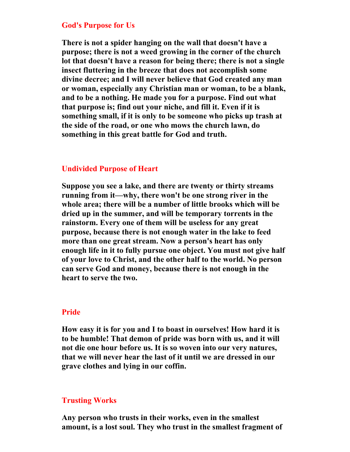# **God's Purpose for Us**

**There is not a spider hanging on the wall that doesn't have a purpose; there is not a weed growing in the corner of the church lot that doesn't have a reason for being there; there is not a single insect fluttering in the breeze that does not accomplish some divine decree; and I will never believe that God created any man or woman, especially any Christian man or woman, to be a blank, and to be a nothing. He made you for a purpose. Find out what that purpose is; find out your niche, and fill it. Even if it is something small, if it is only to be someone who picks up trash at the side of the road, or one who mows the church lawn, do something in this great battle for God and truth.** 

### **Undivided Purpose of Heart**

**Suppose you see a lake, and there are twenty or thirty streams running from it—why, there won't be one strong river in the whole area; there will be a number of little brooks which will be dried up in the summer, and will be temporary torrents in the rainstorm. Every one of them will be useless for any great purpose, because there is not enough water in the lake to feed more than one great stream. Now a person's heart has only enough life in it to fully pursue one object. You must not give half of your love to Christ, and the other half to the world. No person can serve God and money, because there is not enough in the heart to serve the two.** 

#### **Pride**

**How easy it is for you and I to boast in ourselves! How hard it is to be humble! That demon of pride was born with us, and it will not die one hour before us. It is so woven into our very natures, that we will never hear the last of it until we are dressed in our grave clothes and lying in our coffin.** 

## **Trusting Works**

**Any person who trusts in their works, even in the smallest amount, is a lost soul. They who trust in the smallest fragment of**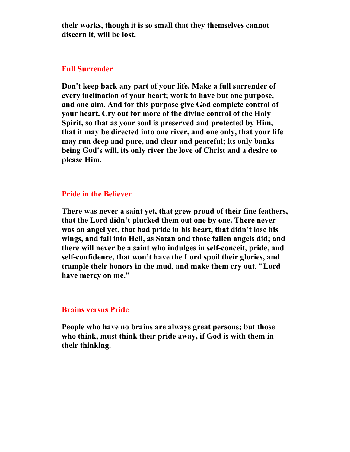**their works, though it is so small that they themselves cannot discern it, will be lost.** 

# **Full Surrender**

**Don't keep back any part of your life. Make a full surrender of every inclination of your heart; work to have but one purpose, and one aim. And for this purpose give God complete control of your heart. Cry out for more of the divine control of the Holy Spirit, so that as your soul is preserved and protected by Him, that it may be directed into one river, and one only, that your life may run deep and pure, and clear and peaceful; its only banks being God's will, its only river the love of Christ and a desire to please Him.** 

# **Pride in the Believer**

**There was never a saint yet, that grew proud of their fine feathers, that the Lord didn't plucked them out one by one. There never was an angel yet, that had pride in his heart, that didn't lose his wings, and fall into Hell, as Satan and those fallen angels did; and there will never be a saint who indulges in self-conceit, pride, and self-confidence, that won't have the Lord spoil their glories, and trample their honors in the mud, and make them cry out, "Lord have mercy on me."** 

# **Brains versus Pride**

**People who have no brains are always great persons; but those who think, must think their pride away, if God is with them in their thinking.**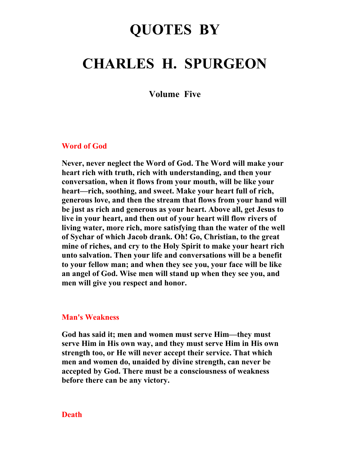# **QUOTES BY**

# **CHARLES H. SPURGEON**

**Volume Five** 

#### **Word of God**

**Never, never neglect the Word of God. The Word will make your heart rich with truth, rich with understanding, and then your conversation, when it flows from your mouth, will be like your heart—rich, soothing, and sweet. Make your heart full of rich, generous love, and then the stream that flows from your hand will be just as rich and generous as your heart. Above all, get Jesus to live in your heart, and then out of your heart will flow rivers of living water, more rich, more satisfying than the water of the well of Sychar of which Jacob drank. Oh! Go, Christian, to the great mine of riches, and cry to the Holy Spirit to make your heart rich unto salvation. Then your life and conversations will be a benefit to your fellow man; and when they see you, your face will be like an angel of God. Wise men will stand up when they see you, and men will give you respect and honor.** 

## **Man's Weakness**

**God has said it; men and women must serve Him—they must serve Him in His own way, and they must serve Him in His own strength too, or He will never accept their service. That which men and women do, unaided by divine strength, can never be accepted by God. There must be a consciousness of weakness before there can be any victory.** 

## **Death**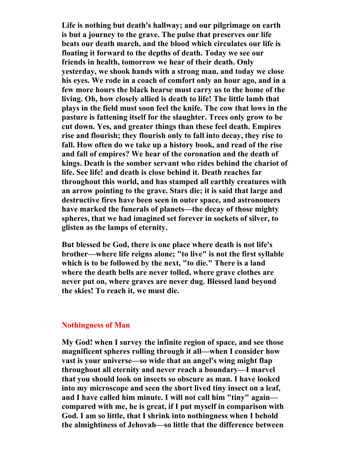**Life is nothing but death's hallway; and our pilgrimage on earth is but a journey to the grave. The pulse that preserves our life beats our death march, and the blood which circulates our life is floating it forward to the depths of death. Today we see our friends in health, tomorrow we hear of their death. Only yesterday, we shook hands with a strong man, and today we close his eyes. We rode in a coach of comfort only an hour ago, and in a few more hours the black hearse must carry us to the home of the living. Oh, how closely allied is death to life! The little lamb that plays in the field must soon feel the knife. The cow that lows in the pasture is fattening itself for the slaughter. Trees only grow to be cut down. Yes, and greater things than these feel death. Empires rise and flourish; they flourish only to fall into decay, they rise to fall. How often do we take up a history book, and read of the rise and fall of empires? We hear of the coronation and the death of kings. Death is the somber servant who rides behind the chariot of life. See life! and death is close behind it. Death reaches far throughout this world, and has stamped all earthly creatures with an arrow pointing to the grave. Stars die; it is said that large and destructive fires have been seen in outer space, and astronomers have marked the funerals of planets—the decay of those mighty spheres, that we had imagined set forever in sockets of silver, to glisten as the lamps of eternity.** 

**But blessed be God, there is one place where death is not life's brother—where life reigns alone; "to live" is not the first syllable which is to be followed by the next, "to die." There is a land where the death bells are never tolled, where grave clothes are never put on, where graves are never dug. Blessed land beyond the skies! To reach it, we must die.** 

## **Nothingness of Man**

**My God! when I survey the infinite region of space, and see those magnificent spheres rolling through it all—when I consider how vast is your universe—so wide that an angel's wing might flap throughout all eternity and never reach a boundary—I marvel that you should look on insects so obscure as man. I have looked into my microscope and seen the short lived tiny insect on a leaf, and I have called him minute. I will not call him "tiny" again compared with me, he is great, if I put myself in comparison with God. I am so little, that I shrink into nothingness when I behold the almightiness of Jehovah—so little that the difference between**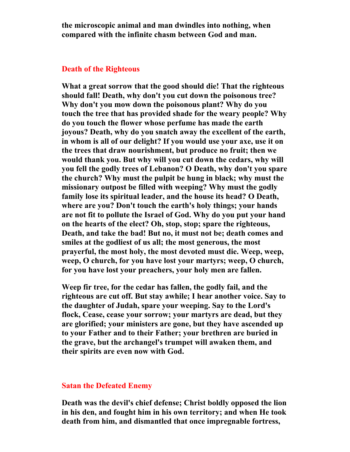**the microscopic animal and man dwindles into nothing, when compared with the infinite chasm between God and man.** 

#### **Death of the Righteous**

**What a great sorrow that the good should die! That the righteous should fall! Death, why don't you cut down the poisonous tree? Why don't you mow down the poisonous plant? Why do you touch the tree that has provided shade for the weary people? Why do you touch the flower whose perfume has made the earth joyous? Death, why do you snatch away the excellent of the earth, in whom is all of our delight? If you would use your axe, use it on the trees that draw nourishment, but produce no fruit; then we would thank you. But why will you cut down the cedars, why will you fell the godly trees of Lebanon? O Death, why don't you spare the church? Why must the pulpit be hung in black; why must the missionary outpost be filled with weeping? Why must the godly family lose its spiritual leader, and the house its head? O Death, where are you? Don't touch the earth's holy things; your hands are not fit to pollute the Israel of God. Why do you put your hand on the hearts of the elect? Oh, stop, stop; spare the righteous, Death, and take the bad! But no, it must not be; death comes and smiles at the godliest of us all; the most generous, the most prayerful, the most holy, the most devoted must die. Weep, weep, weep, O church, for you have lost your martyrs; weep, O church, for you have lost your preachers, your holy men are fallen.** 

**Weep fir tree, for the cedar has fallen, the godly fail, and the righteous are cut off. But stay awhile; I hear another voice. Say to the daughter of Judah, spare your weeping. Say to the Lord's flock, Cease, cease your sorrow; your martyrs are dead, but they are glorified; your ministers are gone, but they have ascended up to your Father and to their Father; your brethren are buried in the grave, but the archangel's trumpet will awaken them, and their spirits are even now with God.** 

# **Satan the Defeated Enemy**

**Death was the devil's chief defense; Christ boldly opposed the lion in his den, and fought him in his own territory; and when He took death from him, and dismantled that once impregnable fortress,**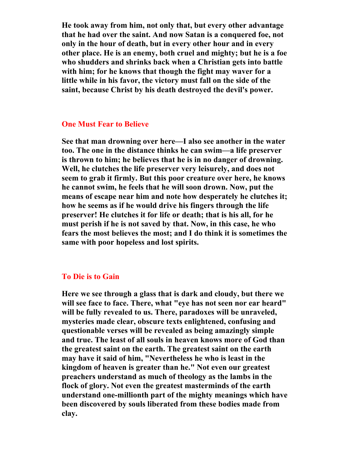**He took away from him, not only that, but every other advantage that he had over the saint. And now Satan is a conquered foe, not only in the hour of death, but in every other hour and in every other place. He is an enemy, both cruel and mighty; but he is a foe who shudders and shrinks back when a Christian gets into battle with him; for he knows that though the fight may waver for a little while in his favor, the victory must fall on the side of the saint, because Christ by his death destroyed the devil's power.** 

#### **One Must Fear to Believe**

**See that man drowning over here—I also see another in the water too. The one in the distance thinks he can swim—a life preserver is thrown to him; he believes that he is in no danger of drowning. Well, he clutches the life preserver very leisurely, and does not seem to grab it firmly. But this poor creature over here, he knows he cannot swim, he feels that he will soon drown. Now, put the means of escape near him and note how desperately he clutches it; how he seems as if he would drive his fingers through the life preserver! He clutches it for life or death; that is his all, for he must perish if he is not saved by that. Now, in this case, he who fears the most believes the most; and I do think it is sometimes the same with poor hopeless and lost spirits.** 

# **To Die is to Gain**

**Here we see through a glass that is dark and cloudy, but there we will see face to face. There, what "eye has not seen nor ear heard" will be fully revealed to us. There, paradoxes will be unraveled, mysteries made clear, obscure texts enlightened, confusing and questionable verses will be revealed as being amazingly simple and true. The least of all souls in heaven knows more of God than the greatest saint on the earth. The greatest saint on the earth may have it said of him, "Nevertheless he who is least in the kingdom of heaven is greater than he." Not even our greatest preachers understand as much of theology as the lambs in the flock of glory. Not even the greatest masterminds of the earth understand one-millionth part of the mighty meanings which have been discovered by souls liberated from these bodies made from clay.**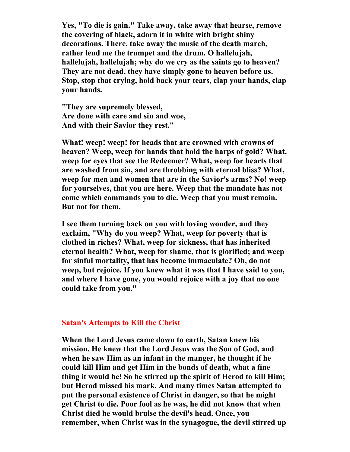**Yes, "To die is gain." Take away, take away that hearse, remove the covering of black, adorn it in white with bright shiny decorations. There, take away the music of the death march, rather lend me the trumpet and the drum. O hallelujah, hallelujah, hallelujah; why do we cry as the saints go to heaven? They are not dead, they have simply gone to heaven before us. Stop, stop that crying, hold back your tears, clap your hands, clap your hands.** 

**"They are supremely blessed, Are done with care and sin and woe, And with their Savior they rest."** 

**What! weep! weep! for heads that are crowned with crowns of heaven? Weep, weep for hands that hold the harps of gold? What, weep for eyes that see the Redeemer? What, weep for hearts that are washed from sin, and are throbbing with eternal bliss? What, weep for men and women that are in the Savior's arms? No! weep for yourselves, that you are here. Weep that the mandate has not come which commands you to die. Weep that you must remain. But not for them.** 

**I see them turning back on you with loving wonder, and they exclaim, "Why do you weep? What, weep for poverty that is clothed in riches? What, weep for sickness, that has inherited eternal health? What, weep for shame, that is glorified; and weep for sinful mortality, that has become immaculate? Oh, do not weep, but rejoice. If you knew what it was that I have said to you, and where I have gone, you would rejoice with a joy that no one could take from you."** 

#### **Satan's Attempts to Kill the Christ**

**When the Lord Jesus came down to earth, Satan knew his mission. He knew that the Lord Jesus was the Son of God, and when he saw Him as an infant in the manger, he thought if he could kill Him and get Him in the bonds of death, what a fine thing it would be! So he stirred up the spirit of Herod to kill Him; but Herod missed his mark. And many times Satan attempted to put the personal existence of Christ in danger, so that he might get Christ to die. Poor fool as he was, he did not know that when Christ died he would bruise the devil's head. Once, you remember, when Christ was in the synagogue, the devil stirred up**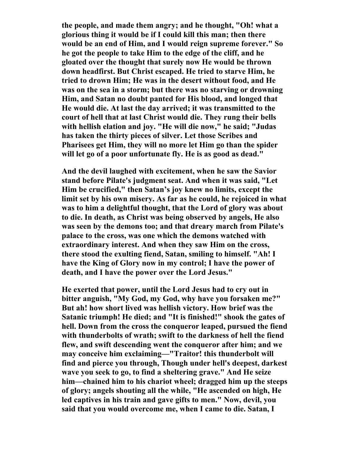**the people, and made them angry; and he thought, "Oh! what a glorious thing it would be if I could kill this man; then there would be an end of Him, and I would reign supreme forever." So he got the people to take Him to the edge of the cliff, and he gloated over the thought that surely now He would be thrown down headfirst. But Christ escaped. He tried to starve Him, he tried to drown Him; He was in the desert without food, and He was on the sea in a storm; but there was no starving or drowning Him, and Satan no doubt panted for His blood, and longed that He would die. At last the day arrived; it was transmitted to the court of hell that at last Christ would die. They rung their bells with hellish elation and joy. "He will die now," he said; "Judas has taken the thirty pieces of silver. Let those Scribes and Pharisees get Him, they will no more let Him go than the spider will let go of a poor unfortunate fly. He is as good as dead."** 

**And the devil laughed with excitement, when he saw the Savior stand before Pilate's judgment seat. And when it was said, "Let Him be crucified," then Satan's joy knew no limits, except the limit set by his own misery. As far as he could, he rejoiced in what was to him a delightful thought, that the Lord of glory was about to die. In death, as Christ was being observed by angels, He also was seen by the demons too; and that dreary march from Pilate's palace to the cross, was one which the demons watched with extraordinary interest. And when they saw Him on the cross, there stood the exulting fiend, Satan, smiling to himself. "Ah! I have the King of Glory now in my control; I have the power of death, and I have the power over the Lord Jesus."** 

**He exerted that power, until the Lord Jesus had to cry out in bitter anguish, "My God, my God, why have you forsaken me?" But ah! how short lived was hellish victory. How brief was the Satanic triumph! He died; and "It is finished!" shook the gates of hell. Down from the cross the conqueror leaped, pursued the fiend with thunderbolts of wrath; swift to the darkness of hell the fiend flew, and swift descending went the conqueror after him; and we may conceive him exclaiming—"Traitor! this thunderbolt will find and pierce you through, Though under hell's deepest, darkest wave you seek to go, to find a sheltering grave." And He seize him—chained him to his chariot wheel; dragged him up the steeps of glory; angels shouting all the while, "He ascended on high, He led captives in his train and gave gifts to men." Now, devil, you said that you would overcome me, when I came to die. Satan, I**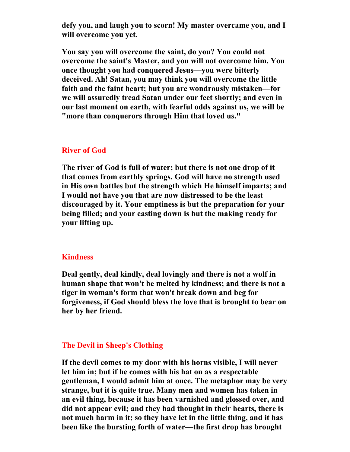**defy you, and laugh you to scorn! My master overcame you, and I will overcome you yet.** 

**You say you will overcome the saint, do you? You could not overcome the saint's Master, and you will not overcome him. You once thought you had conquered Jesus—you were bitterly deceived. Ah! Satan, you may think you will overcome the little faith and the faint heart; but you are wondrously mistaken—for we will assuredly tread Satan under our feet shortly; and even in our last moment on earth, with fearful odds against us, we will be "more than conquerors through Him that loved us."** 

## **River of God**

**The river of God is full of water; but there is not one drop of it that comes from earthly springs. God will have no strength used in His own battles but the strength which He himself imparts; and I would not have you that are now distressed to be the least discouraged by it. Your emptiness is but the preparation for your being filled; and your casting down is but the making ready for your lifting up.** 

## **Kindness**

**Deal gently, deal kindly, deal lovingly and there is not a wolf in human shape that won't be melted by kindness; and there is not a tiger in woman's form that won't break down and beg for forgiveness, if God should bless the love that is brought to bear on her by her friend.** 

### **The Devil in Sheep's Clothing**

**If the devil comes to my door with his horns visible, I will never let him in; but if he comes with his hat on as a respectable gentleman, I would admit him at once. The metaphor may be very strange, but it is quite true. Many men and women has taken in an evil thing, because it has been varnished and glossed over, and did not appear evil; and they had thought in their hearts, there is not much harm in it; so they have let in the little thing, and it has been like the bursting forth of water—the first drop has brought**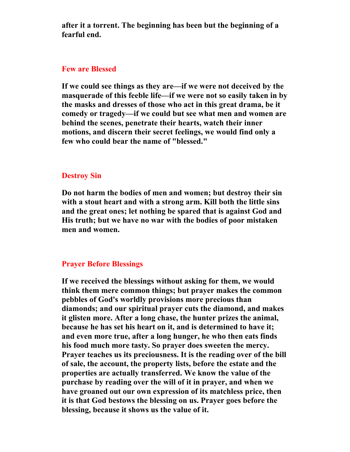**after it a torrent. The beginning has been but the beginning of a fearful end.** 

## **Few are Blessed**

**If we could see things as they are—if we were not deceived by the masquerade of this feeble life—if we were not so easily taken in by the masks and dresses of those who act in this great drama, be it comedy or tragedy—if we could but see what men and women are behind the scenes, penetrate their hearts, watch their inner motions, and discern their secret feelings, we would find only a few who could bear the name of "blessed."** 

## **Destroy Sin**

**Do not harm the bodies of men and women; but destroy their sin with a stout heart and with a strong arm. Kill both the little sins and the great ones; let nothing be spared that is against God and His truth; but we have no war with the bodies of poor mistaken men and women.** 

## **Prayer Before Blessings**

**If we received the blessings without asking for them, we would think them mere common things; but prayer makes the common pebbles of God's worldly provisions more precious than diamonds; and our spiritual prayer cuts the diamond, and makes it glisten more. After a long chase, the hunter prizes the animal, because he has set his heart on it, and is determined to have it; and even more true, after a long hunger, he who then eats finds his food much more tasty. So prayer does sweeten the mercy. Prayer teaches us its preciousness. It is the reading over of the bill of sale, the account, the property lists, before the estate and the properties are actually transferred. We know the value of the purchase by reading over the will of it in prayer, and when we have groaned out our own expression of its matchless price, then it is that God bestows the blessing on us. Prayer goes before the blessing, because it shows us the value of it.**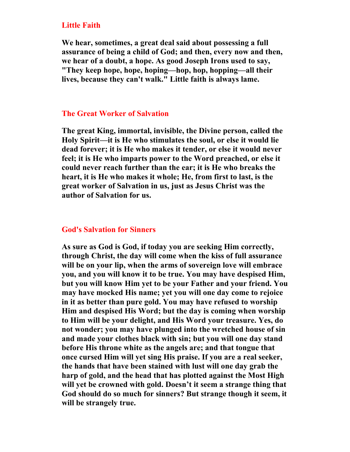## **Little Faith**

**We hear, sometimes, a great deal said about possessing a full assurance of being a child of God; and then, every now and then, we hear of a doubt, a hope. As good Joseph Irons used to say, "They keep hope, hope, hoping—hop, hop, hopping—all their lives, because they can't walk." Little faith is always lame.** 

## **The Great Worker of Salvation**

**The great King, immortal, invisible, the Divine person, called the Holy Spirit—it is He who stimulates the soul, or else it would lie dead forever; it is He who makes it tender, or else it would never feel; it is He who imparts power to the Word preached, or else it could never reach further than the ear; it is He who breaks the heart, it is He who makes it whole; He, from first to last, is the great worker of Salvation in us, just as Jesus Christ was the author of Salvation for us.** 

## **God's Salvation for Sinners**

**As sure as God is God, if today you are seeking Him correctly, through Christ, the day will come when the kiss of full assurance will be on your lip, when the arms of sovereign love will embrace you, and you will know it to be true. You may have despised Him, but you will know Him yet to be your Father and your friend. You may have mocked His name; yet you will one day come to rejoice in it as better than pure gold. You may have refused to worship Him and despised His Word; but the day is coming when worship to Him will be your delight, and His Word your treasure. Yes, do not wonder; you may have plunged into the wretched house of sin and made your clothes black with sin; but you will one day stand before His throne white as the angels are; and that tongue that once cursed Him will yet sing His praise. If you are a real seeker, the hands that have been stained with lust will one day grab the harp of gold, and the head that has plotted against the Most High will yet be crowned with gold. Doesn't it seem a strange thing that God should do so much for sinners? But strange though it seem, it will be strangely true.**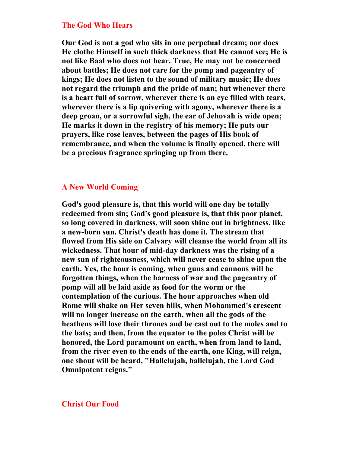#### **The God Who Hears**

**Our God is not a god who sits in one perpetual dream; nor does He clothe Himself in such thick darkness that He cannot see; He is not like Baal who does not hear. True, He may not be concerned about battles; He does not care for the pomp and pageantry of kings; He does not listen to the sound of military music; He does not regard the triumph and the pride of man; but whenever there is a heart full of sorrow, wherever there is an eye filled with tears, wherever there is a lip quivering with agony, wherever there is a deep groan, or a sorrowful sigh, the ear of Jehovah is wide open; He marks it down in the registry of his memory; He puts our prayers, like rose leaves, between the pages of His book of remembrance, and when the volume is finally opened, there will be a precious fragrance springing up from there.** 

## **A New World Coming**

**God's good pleasure is, that this world will one day be totally redeemed from sin; God's good pleasure is, that this poor planet, so long covered in darkness, will soon shine out in brightness, like a new-born sun. Christ's death has done it. The stream that flowed from His side on Calvary will cleanse the world from all its wickedness. That hour of mid-day darkness was the rising of a new sun of righteousness, which will never cease to shine upon the earth. Yes, the hour is coming, when guns and cannons will be forgotten things, when the harness of war and the pageantry of pomp will all be laid aside as food for the worm or the contemplation of the curious. The hour approaches when old Rome will shake on Her seven hills, when Mohammed's crescent will no longer increase on the earth, when all the gods of the heathens will lose their thrones and be cast out to the moles and to the bats; and then, from the equator to the poles Christ will be honored, the Lord paramount on earth, when from land to land, from the river even to the ends of the earth, one King, will reign, one shout will be heard, "Hallelujah, hallelujah, the Lord God Omnipotent reigns."** 

#### **Christ Our Food**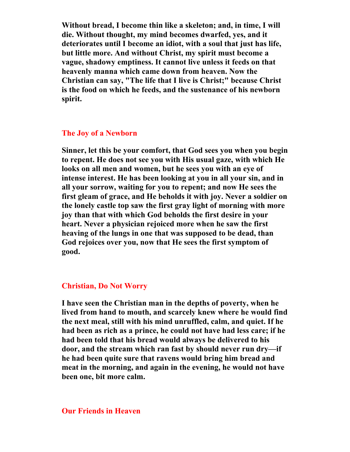**Without bread, I become thin like a skeleton; and, in time, I will die. Without thought, my mind becomes dwarfed, yes, and it deteriorates until I become an idiot, with a soul that just has life, but little more. And without Christ, my spirit must become a vague, shadowy emptiness. It cannot live unless it feeds on that heavenly manna which came down from heaven. Now the Christian can say, "The life that I live is Christ;" because Christ is the food on which he feeds, and the sustenance of his newborn spirit.** 

## **The Joy of a Newborn**

**Sinner, let this be your comfort, that God sees you when you begin to repent. He does not see you with His usual gaze, with which He looks on all men and women, but he sees you with an eye of intense interest. He has been looking at you in all your sin, and in all your sorrow, waiting for you to repent; and now He sees the first gleam of grace, and He beholds it with joy. Never a soldier on the lonely castle top saw the first gray light of morning with more joy than that with which God beholds the first desire in your heart. Never a physician rejoiced more when he saw the first heaving of the lungs in one that was supposed to be dead, than God rejoices over you, now that He sees the first symptom of good.** 

#### **Christian, Do Not Worry**

**I have seen the Christian man in the depths of poverty, when he lived from hand to mouth, and scarcely knew where he would find the next meal, still with his mind unruffled, calm, and quiet. If he had been as rich as a prince, he could not have had less care; if he had been told that his bread would always be delivered to his door, and the stream which ran fast by should never run dry—if he had been quite sure that ravens would bring him bread and meat in the morning, and again in the evening, he would not have been one, bit more calm.** 

## **Our Friends in Heaven**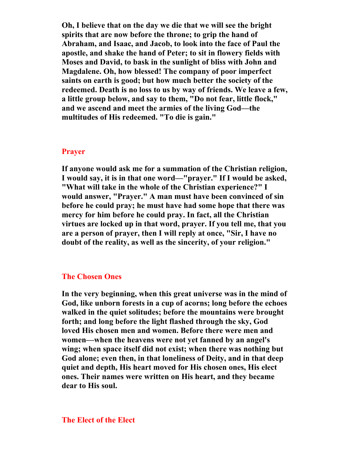**Oh, I believe that on the day we die that we will see the bright spirits that are now before the throne; to grip the hand of Abraham, and Isaac, and Jacob, to look into the face of Paul the apostle, and shake the hand of Peter; to sit in flowery fields with Moses and David, to bask in the sunlight of bliss with John and Magdalene. Oh, how blessed! The company of poor imperfect saints on earth is good; but how much better the society of the redeemed. Death is no loss to us by way of friends. We leave a few, a little group below, and say to them, "Do not fear, little flock," and we ascend and meet the armies of the living God—the multitudes of His redeemed. "To die is gain."** 

## **Prayer**

**If anyone would ask me for a summation of the Christian religion, I would say, it is in that one word—"prayer." If I would be asked, "What will take in the whole of the Christian experience?" I would answer, "Prayer." A man must have been convinced of sin before he could pray; he must have had some hope that there was mercy for him before he could pray. In fact, all the Christian virtues are locked up in that word, prayer. If you tell me, that you are a person of prayer, then I will reply at once, "Sir, I have no doubt of the reality, as well as the sincerity, of your religion."** 

## **The Chosen Ones**

**In the very beginning, when this great universe was in the mind of God, like unborn forests in a cup of acorns; long before the echoes walked in the quiet solitudes; before the mountains were brought forth; and long before the light flashed through the sky, God loved His chosen men and women. Before there were men and women—when the heavens were not yet fanned by an angel's wing; when space itself did not exist; when there was nothing but God alone; even then, in that loneliness of Deity, and in that deep quiet and depth, His heart moved for His chosen ones, His elect ones. Their names were written on His heart, and they became dear to His soul.**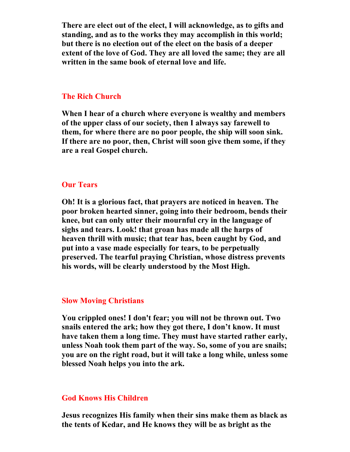**There are elect out of the elect, I will acknowledge, as to gifts and standing, and as to the works they may accomplish in this world; but there is no election out of the elect on the basis of a deeper extent of the love of God. They are all loved the same; they are all written in the same book of eternal love and life.** 

## **The Rich Church**

**When I hear of a church where everyone is wealthy and members of the upper class of our society, then I always say farewell to them, for where there are no poor people, the ship will soon sink. If there are no poor, then, Christ will soon give them some, if they are a real Gospel church.** 

## **Our Tears**

**Oh! It is a glorious fact, that prayers are noticed in heaven. The poor broken hearted sinner, going into their bedroom, bends their knee, but can only utter their mournful cry in the language of sighs and tears. Look! that groan has made all the harps of heaven thrill with music; that tear has, been caught by God, and put into a vase made especially for tears, to be perpetually preserved. The tearful praying Christian, whose distress prevents his words, will be clearly understood by the Most High.** 

## **Slow Moving Christians**

**You crippled ones! I don't fear; you will not be thrown out. Two snails entered the ark; how they got there, I don't know. It must have taken them a long time. They must have started rather early, unless Noah took them part of the way. So, some of you are snails; you are on the right road, but it will take a long while, unless some blessed Noah helps you into the ark.** 

## **God Knows His Children**

**Jesus recognizes His family when their sins make them as black as the tents of Kedar, and He knows they will be as bright as the**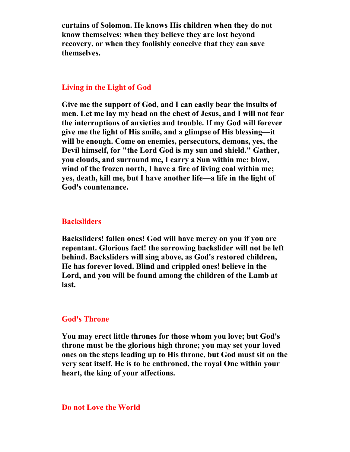**curtains of Solomon. He knows His children when they do not know themselves; when they believe they are lost beyond recovery, or when they foolishly conceive that they can save themselves.** 

## **Living in the Light of God**

**Give me the support of God, and I can easily bear the insults of men. Let me lay my head on the chest of Jesus, and I will not fear the interruptions of anxieties and trouble. If my God will forever give me the light of His smile, and a glimpse of His blessing—it will be enough. Come on enemies, persecutors, demons, yes, the Devil himself, for "the Lord God is my sun and shield." Gather, you clouds, and surround me, I carry a Sun within me; blow, wind of the frozen north, I have a fire of living coal within me; yes, death, kill me, but I have another life—a life in the light of God's countenance.** 

#### **Backsliders**

**Backsliders! fallen ones! God will have mercy on you if you are repentant. Glorious fact! the sorrowing backslider will not be left behind. Backsliders will sing above, as God's restored children, He has forever loved. Blind and crippled ones! believe in the Lord, and you will be found among the children of the Lamb at last.** 

## **God's Throne**

**You may erect little thrones for those whom you love; but God's throne must be the glorious high throne; you may set your loved ones on the steps leading up to His throne, but God must sit on the very seat itself. He is to be enthroned, the royal One within your heart, the king of your affections.** 

#### **Do not Love the World**